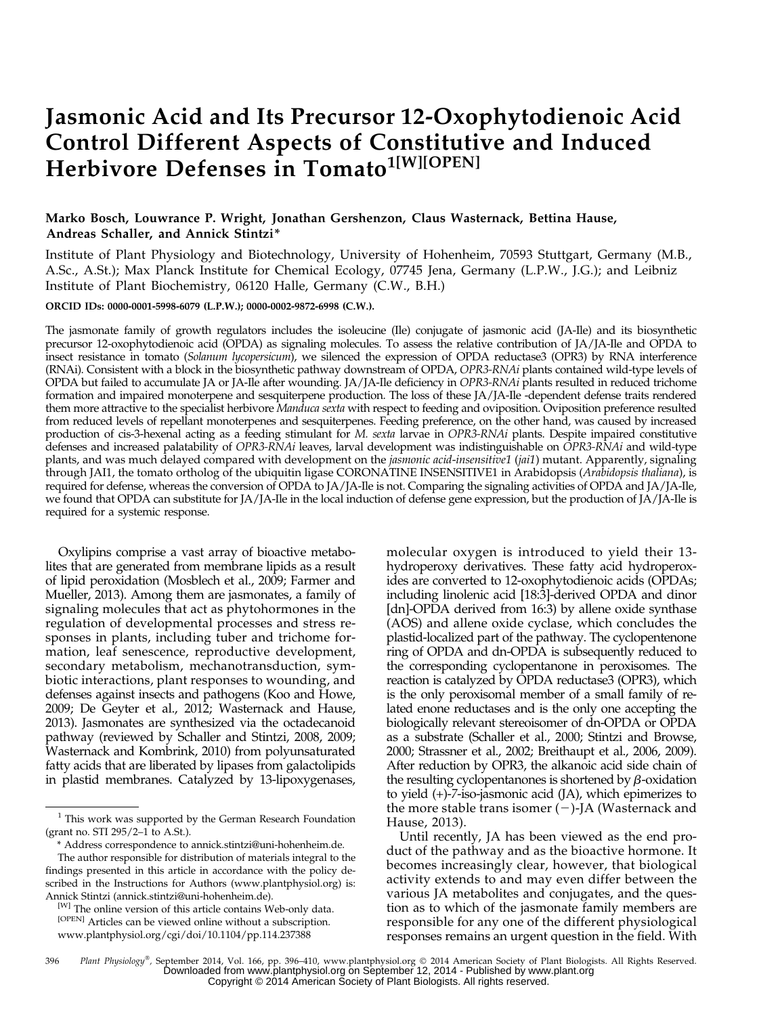# Jasmonic Acid and Its Precursor 12-Oxophytodienoic Acid Control Different Aspects of Constitutive and Induced Herbivore Defenses in Tomato<sup>1[W][OPEN]</sup>

# Marko Bosch, Louwrance P. Wright, Jonathan Gershenzon, Claus Wasternack, Bettina Hause, Andreas Schaller, and Annick Stintzi\*

Institute of Plant Physiology and Biotechnology, University of Hohenheim, 70593 Stuttgart, Germany (M.B., A.Sc., A.St.); Max Planck Institute for Chemical Ecology, 07745 Jena, Germany (L.P.W., J.G.); and Leibniz Institute of Plant Biochemistry, 06120 Halle, Germany (C.W., B.H.)

# ORCID IDs: [0000-0001-5998-6079](http://orcid.org/0000-0001-5998-6079) (L.P.W.); [0000-0002-9872-6998](http://orcid.org/0000-0002-9872-6998) (C.W.).

The jasmonate family of growth regulators includes the isoleucine (Ile) conjugate of jasmonic acid (JA-Ile) and its biosynthetic precursor 12-oxophytodienoic acid (OPDA) as signaling molecules. To assess the relative contribution of JA/JA-Ile and OPDA to insect resistance in tomato (Solanum lycopersicum), we silenced the expression of OPDA reductase3 (OPR3) by RNA interference (RNAi). Consistent with a block in the biosynthetic pathway downstream of OPDA, OPR3-RNAi plants contained wild-type levels of OPDA but failed to accumulate JA or JA-Ile after wounding. JA/JA-Ile deficiency in OPR3-RNAi plants resulted in reduced trichome formation and impaired monoterpene and sesquiterpene production. The loss of these JA/JA-Ile -dependent defense traits rendered them more attractive to the specialist herbivore Manduca sexta with respect to feeding and oviposition. Oviposition preference resulted from reduced levels of repellant monoterpenes and sesquiterpenes. Feeding preference, on the other hand, was caused by increased production of cis-3-hexenal acting as a feeding stimulant for M. sexta larvae in OPR3-RNAi plants. Despite impaired constitutive defenses and increased palatability of OPR3-RNAi leaves, larval development was indistinguishable on OPR3-RNAi and wild-type plants, and was much delayed compared with development on the *jasmonic acid-insensitive1* (*jai1*) mutant. Apparently, signaling through JAI1, the tomato ortholog of the ubiquitin ligase CORONATINE INSENSITIVE1 in Arabidopsis (Arabidopsis thaliana), is required for defense, whereas the conversion of OPDA to JA/JA-Ile is not. Comparing the signaling activities of OPDA and JA/JA-Ile, we found that OPDA can substitute for JA/JA-Ile in the local induction of defense gene expression, but the production of JA/JA-Ile is required for a systemic response.

Oxylipins comprise a vast array of bioactive metabolites that are generated from membrane lipids as a result of lipid peroxidation (Mosblech et al., 2009; Farmer and Mueller, 2013). Among them are jasmonates, a family of signaling molecules that act as phytohormones in the regulation of developmental processes and stress responses in plants, including tuber and trichome formation, leaf senescence, reproductive development, secondary metabolism, mechanotransduction, symbiotic interactions, plant responses to wounding, and defenses against insects and pathogens (Koo and Howe, 2009; De Geyter et al., 2012; Wasternack and Hause, 2013). Jasmonates are synthesized via the octadecanoid pathway (reviewed by Schaller and Stintzi, 2008, 2009; Wasternack and Kombrink, 2010) from polyunsaturated fatty acids that are liberated by lipases from galactolipids in plastid membranes. Catalyzed by 13-lipoxygenases,

molecular oxygen is introduced to yield their 13 hydroperoxy derivatives. These fatty acid hydroperoxides are converted to 12-oxophytodienoic acids (OPDAs; including linolenic acid [18:3]-derived OPDA and dinor [dn]-OPDA derived from 16:3) by allene oxide synthase (AOS) and allene oxide cyclase, which concludes the plastid-localized part of the pathway. The cyclopentenone ring of OPDA and dn-OPDA is subsequently reduced to the corresponding cyclopentanone in peroxisomes. The reaction is catalyzed by OPDA reductase3 (OPR3), which is the only peroxisomal member of a small family of related enone reductases and is the only one accepting the biologically relevant stereoisomer of dn-OPDA or OPDA as a substrate (Schaller et al., 2000; Stintzi and Browse, 2000; Strassner et al., 2002; Breithaupt et al., 2006, 2009). After reduction by OPR3, the alkanoic acid side chain of the resulting cyclopentanones is shortened by  $\beta$ -oxidation to yield (+)-7-iso-jasmonic acid (JA), which epimerizes to the more stable trans isomer  $(-)$ -JA (Wasternack and Hause, 2013).

Until recently, JA has been viewed as the end product of the pathway and as the bioactive hormone. It becomes increasingly clear, however, that biological activity extends to and may even differ between the various JA metabolites and conjugates, and the question as to which of the jasmonate family members are responsible for any one of the different physiological responses remains an urgent question in the field. With

396 Plant Physiology®, September 2014, Vol. 166, pp. 396-410, www.plantphysiol.org © 2014 American Society of Plant Biologists. All Rights Reserved. Downloaded from [www.plantphysiol.org](http://www.plantphysiol.org/) on September 12, 2014 - Published by [www.plant.org](http://www.plant.org) Copyright © 2014 American Society of Plant Biologists. All rights reserved.

 $1$  This work was supported by the German Research Foundation (grant no. STI 295/2–1 to A.St.).

<sup>\*</sup> Address correspondence to [annick.stintzi@uni-hohenheim.de.](mailto:annick.stintzi@uni-hohenheim.de)

The author responsible for distribution of materials integral to the findings presented in this article in accordance with the policy described in the Instructions for Authors ([www.plantphysiol.org\)](http://www.plantphysiol.org) is: Annick Stintzi ([annick.stintzi@uni-hohenheim.de](mailto:annick.stintzi@uni-hohenheim.de)).

<sup>[</sup>W] The online version of this article contains Web-only data. [OPEN] Articles can be viewed online without a subscription. [www.plantphysiol.org/cgi/doi/10.1104/pp.114.237388](http://www.plantphysiol.org/cgi/doi/10.1104/pp.114.237388)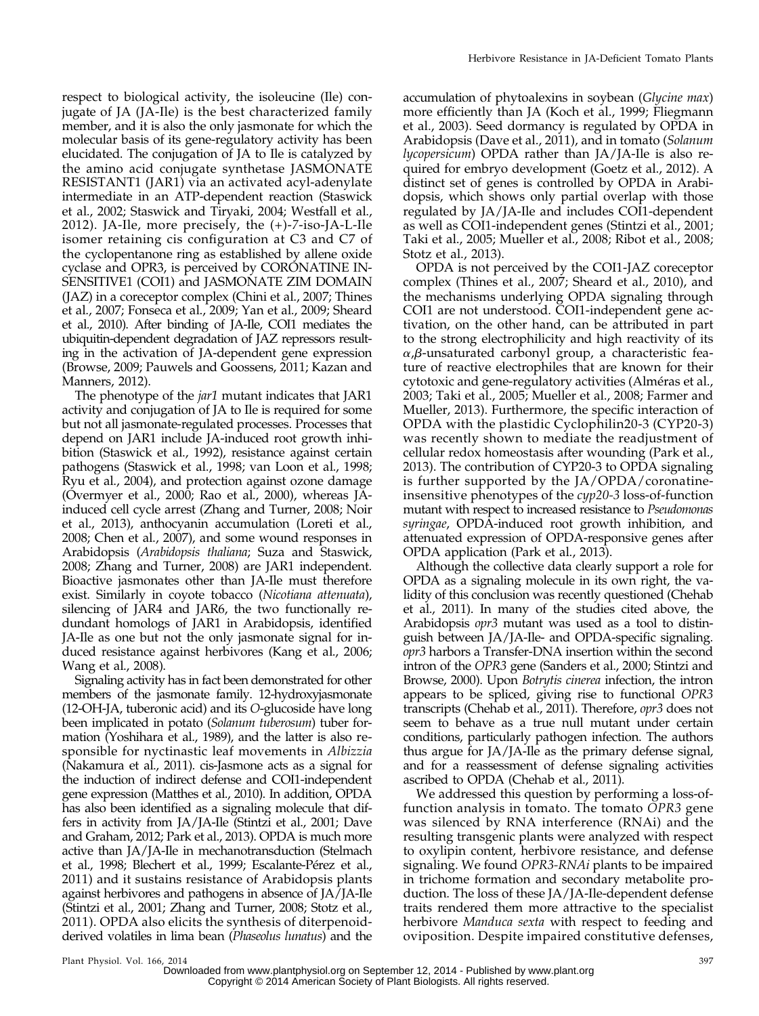respect to biological activity, the isoleucine (Ile) conjugate of JA (JA-Ile) is the best characterized family member, and it is also the only jasmonate for which the molecular basis of its gene-regulatory activity has been elucidated. The conjugation of JA to Ile is catalyzed by the amino acid conjugate synthetase JASMONATE RESISTANT1 (JAR1) via an activated acyl-adenylate intermediate in an ATP-dependent reaction (Staswick et al., 2002; Staswick and Tiryaki, 2004; Westfall et al., 2012). JA-Ile, more precisely, the (+)-7-iso-JA-L-Ile isomer retaining cis configuration at C3 and C7 of the cyclopentanone ring as established by allene oxide cyclase and OPR3, is perceived by CORONATINE IN-SENSITIVE1 (COI1) and JASMONATE ZIM DOMAIN (JAZ) in a coreceptor complex (Chini et al., 2007; Thines et al., 2007; Fonseca et al., 2009; Yan et al., 2009; Sheard et al., 2010). After binding of JA-Ile, COI1 mediates the ubiquitin-dependent degradation of JAZ repressors resulting in the activation of JA-dependent gene expression (Browse, 2009; Pauwels and Goossens, 2011; Kazan and Manners, 2012).

The phenotype of the *jar1* mutant indicates that JAR1 activity and conjugation of JA to Ile is required for some but not all jasmonate-regulated processes. Processes that depend on JAR1 include JA-induced root growth inhibition (Staswick et al., 1992), resistance against certain pathogens (Staswick et al., 1998; van Loon et al., 1998; Ryu et al., 2004), and protection against ozone damage (Overmyer et al., 2000; Rao et al., 2000), whereas JAinduced cell cycle arrest (Zhang and Turner, 2008; Noir et al., 2013), anthocyanin accumulation (Loreti et al., 2008; Chen et al., 2007), and some wound responses in Arabidopsis (Arabidopsis thaliana; Suza and Staswick, 2008; Zhang and Turner, 2008) are JAR1 independent. Bioactive jasmonates other than JA-Ile must therefore exist. Similarly in coyote tobacco (Nicotiana attenuata), silencing of JAR4 and JAR6, the two functionally redundant homologs of JAR1 in Arabidopsis, identified JA-Ile as one but not the only jasmonate signal for induced resistance against herbivores (Kang et al., 2006; Wang et al., 2008).

Signaling activity has in fact been demonstrated for other members of the jasmonate family. 12-hydroxyjasmonate (12-OH-JA, tuberonic acid) and its O-glucoside have long been implicated in potato (Solanum tuberosum) tuber formation (Yoshihara et al., 1989), and the latter is also responsible for nyctinastic leaf movements in Albizzia (Nakamura et al., 2011). cis-Jasmone acts as a signal for the induction of indirect defense and COI1-independent gene expression (Matthes et al., 2010). In addition, OPDA has also been identified as a signaling molecule that differs in activity from JA/JA-Ile (Stintzi et al., 2001; Dave and Graham, 2012; Park et al., 2013). OPDA is much more active than JA/JA-Ile in mechanotransduction (Stelmach et al., 1998; Blechert et al., 1999; Escalante-Pérez et al., 2011) and it sustains resistance of Arabidopsis plants against herbivores and pathogens in absence of JA/JA-Ile (Stintzi et al., 2001; Zhang and Turner, 2008; Stotz et al., 2011). OPDA also elicits the synthesis of diterpenoidderived volatiles in lima bean (Phaseolus lunatus) and the

accumulation of phytoalexins in soybean (Glycine max) more efficiently than JA (Koch et al., 1999; Fliegmann et al., 2003). Seed dormancy is regulated by OPDA in Arabidopsis (Dave et al., 2011), and in tomato (Solanum lycopersicum) OPDA rather than JA/JA-Ile is also required for embryo development (Goetz et al., 2012). A distinct set of genes is controlled by OPDA in Arabidopsis, which shows only partial overlap with those regulated by JA/JA-Ile and includes COI1-dependent as well as COI1-independent genes (Stintzi et al., 2001; Taki et al., 2005; Mueller et al., 2008; Ribot et al., 2008; Stotz et al., 2013).

OPDA is not perceived by the COI1-JAZ coreceptor complex (Thines et al., 2007; Sheard et al., 2010), and the mechanisms underlying OPDA signaling through COI1 are not understood. COI1-independent gene activation, on the other hand, can be attributed in part to the strong electrophilicity and high reactivity of its  $\alpha$ , $\beta$ -unsaturated carbonyl group, a characteristic feature of reactive electrophiles that are known for their cytotoxic and gene-regulatory activities (Alméras et al., 2003; Taki et al., 2005; Mueller et al., 2008; Farmer and Mueller, 2013). Furthermore, the specific interaction of OPDA with the plastidic Cyclophilin20-3 (CYP20-3) was recently shown to mediate the readjustment of cellular redox homeostasis after wounding (Park et al., 2013). The contribution of CYP20-3 to OPDA signaling is further supported by the JA/OPDA/coronatineinsensitive phenotypes of the cyp20-3 loss-of-function mutant with respect to increased resistance to Pseudomonas syringae, OPDA-induced root growth inhibition, and attenuated expression of OPDA-responsive genes after OPDA application (Park et al., 2013).

Although the collective data clearly support a role for OPDA as a signaling molecule in its own right, the validity of this conclusion was recently questioned (Chehab et al., 2011). In many of the studies cited above, the Arabidopsis opr3 mutant was used as a tool to distinguish between JA/JA-Ile- and OPDA-specific signaling. opr3 harbors a Transfer-DNA insertion within the second intron of the OPR3 gene (Sanders et al., 2000; Stintzi and Browse, 2000). Upon Botrytis cinerea infection, the intron appears to be spliced, giving rise to functional OPR3 transcripts (Chehab et al., 2011). Therefore, opr3 does not seem to behave as a true null mutant under certain conditions, particularly pathogen infection. The authors thus argue for JA/JA-Ile as the primary defense signal, and for a reassessment of defense signaling activities ascribed to OPDA (Chehab et al., 2011).

We addressed this question by performing a loss-offunction analysis in tomato. The tomato OPR3 gene was silenced by RNA interference (RNAi) and the resulting transgenic plants were analyzed with respect to oxylipin content, herbivore resistance, and defense signaling. We found OPR3-RNAi plants to be impaired in trichome formation and secondary metabolite production. The loss of these JA/JA-Ile-dependent defense traits rendered them more attractive to the specialist herbivore Manduca sexta with respect to feeding and oviposition. Despite impaired constitutive defenses,

Downloaded from [www.plantphysiol.org](http://www.plantphysiol.org/) on September 12, 2014 - Published by [www.plant.org](http://www.plant.org) Copyright © 2014 American Society of Plant Biologists. All rights reserved.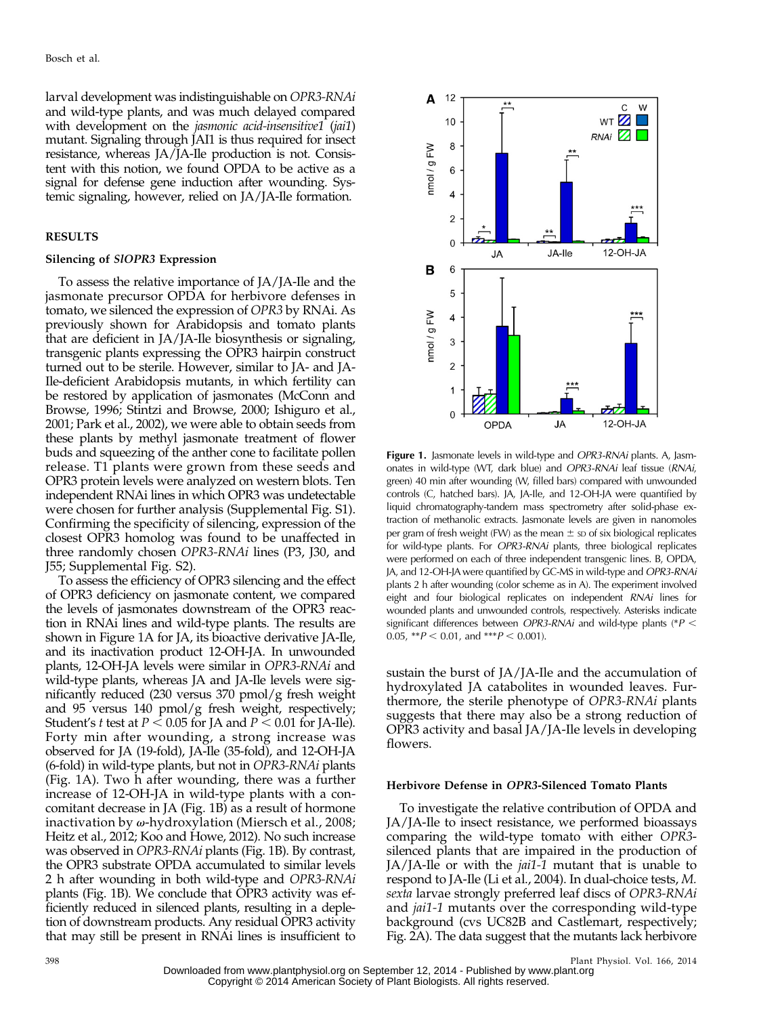larval development was indistinguishable on OPR3-RNAi and wild-type plants, and was much delayed compared with development on the jasmonic acid-insensitive1 (jai1) mutant. Signaling through JAI1 is thus required for insect resistance, whereas JA/JA-Ile production is not. Consistent with this notion, we found OPDA to be active as a signal for defense gene induction after wounding. Systemic signaling, however, relied on JA/JA-Ile formation.

## RESULTS

## Silencing of SlOPR3 Expression

To assess the relative importance of JA/JA-Ile and the jasmonate precursor OPDA for herbivore defenses in tomato, we silenced the expression of OPR3 by RNAi. As previously shown for Arabidopsis and tomato plants that are deficient in JA/JA-Ile biosynthesis or signaling, transgenic plants expressing the OPR3 hairpin construct turned out to be sterile. However, similar to JA- and JA-Ile-deficient Arabidopsis mutants, in which fertility can be restored by application of jasmonates (McConn and Browse, 1996; Stintzi and Browse, 2000; Ishiguro et al., 2001; Park et al., 2002), we were able to obtain seeds from these plants by methyl jasmonate treatment of flower buds and squeezing of the anther cone to facilitate pollen release. T1 plants were grown from these seeds and OPR3 protein levels were analyzed on western blots. Ten independent RNAi lines in which OPR3 was undetectable were chosen for further analysis [\(Supplemental Fig. S1\)](http://www.plantphysiol.org/cgi/content/full/pp.114.237388/DC1). Confirming the specificity of silencing, expression of the closest OPR3 homolog was found to be unaffected in three randomly chosen OPR3-RNAi lines (P3, J30, and J55; [Supplemental Fig. S2\)](http://www.plantphysiol.org/cgi/content/full/pp.114.237388/DC1).

To assess the efficiency of OPR3 silencing and the effect of OPR3 deficiency on jasmonate content, we compared the levels of jasmonates downstream of the OPR3 reaction in RNAi lines and wild-type plants. The results are shown in Figure 1A for JA, its bioactive derivative JA-Ile, and its inactivation product 12-OH-JA. In unwounded plants, 12-OH-JA levels were similar in OPR3-RNAi and wild-type plants, whereas JA and JA-Ile levels were significantly reduced (230 versus 370 pmol/g fresh weight and 95 versus 140 pmol/g fresh weight, respectively; Student's t test at  $P < 0.05$  for JA and  $P < 0.01$  for JA-Ile). Forty min after wounding, a strong increase was observed for JA (19-fold), JA-Ile (35-fold), and 12-OH-JA (6-fold) in wild-type plants, but not in OPR3-RNAi plants (Fig. 1A). Two h after wounding, there was a further increase of 12-OH-JA in wild-type plants with a concomitant decrease in JA (Fig. 1B) as a result of hormone inactivation by  $\omega$ -hydroxylation (Miersch et al., 2008; Heitz et al., 2012; Koo and Howe, 2012). No such increase was observed in OPR3-RNAi plants (Fig. 1B). By contrast, the OPR3 substrate OPDA accumulated to similar levels 2 h after wounding in both wild-type and OPR3-RNAi plants (Fig. 1B). We conclude that OPR3 activity was efficiently reduced in silenced plants, resulting in a depletion of downstream products. Any residual OPR3 activity that may still be present in RNAi lines is insufficient to



Figure 1. Jasmonate levels in wild-type and OPR3-RNAi plants. A, Jasmonates in wild-type (WT, dark blue) and OPR3-RNAi leaf tissue (RNAi, green) 40 min after wounding (W, filled bars) compared with unwounded controls (C, hatched bars). JA, JA-Ile, and 12-OH-JA were quantified by liquid chromatography-tandem mass spectrometry after solid-phase extraction of methanolic extracts. Jasmonate levels are given in nanomoles per gram of fresh weight (FW) as the mean  $\pm$  sp of six biological replicates for wild-type plants. For OPR3-RNAi plants, three biological replicates were performed on each of three independent transgenic lines. B, OPDA, JA, and 12-OH-JA were quantified by GC-MS in wild-type and OPR3-RNAi plants 2 h after wounding (color scheme as in A). The experiment involved eight and four biological replicates on independent RNAi lines for wounded plants and unwounded controls, respectively. Asterisks indicate significant differences between OPR3-RNAi and wild-type plants (\* $P$  < 0.05,  $*P < 0.01$ , and  $*P < 0.001$ .

sustain the burst of JA/JA-Ile and the accumulation of hydroxylated JA catabolites in wounded leaves. Furthermore, the sterile phenotype of OPR3-RNAi plants suggests that there may also be a strong reduction of OPR3 activity and basal JA/JA-Ile levels in developing flowers.

## Herbivore Defense in OPR3-Silenced Tomato Plants

To investigate the relative contribution of OPDA and JA/JA-Ile to insect resistance, we performed bioassays comparing the wild-type tomato with either OPR3 silenced plants that are impaired in the production of JA/JA-Ile or with the jai1-1 mutant that is unable to respond to JA-Ile (Li et al., 2004). In dual-choice tests, M. sexta larvae strongly preferred leaf discs of OPR3-RNAi and *jai1-1* mutants over the corresponding wild-type background (cvs UC82B and Castlemart, respectively; Fig. 2A). The data suggest that the mutants lack herbivore

398 Plant Physiol. Vol. 166, 2014 Downloaded from [www.plantphysiol.org](http://www.plantphysiol.org/) on September 12, 2014 - Published by [www.plant.org](http://www.plant.org) Copyright © 2014 American Society of Plant Biologists. All rights reserved.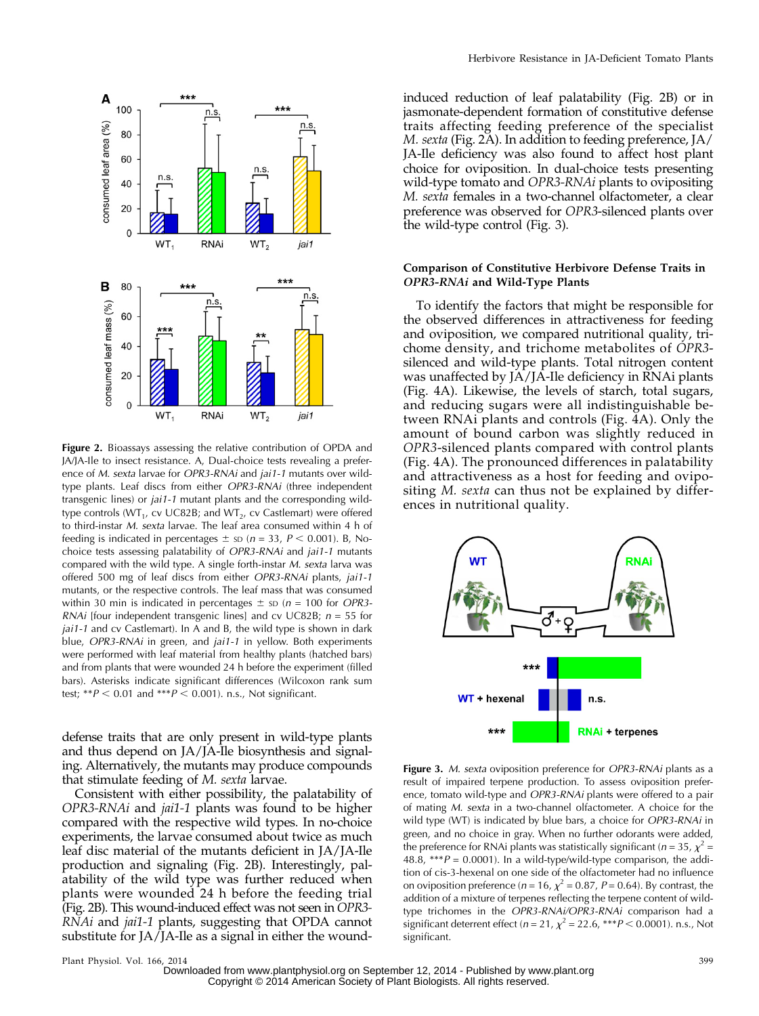

Figure 2. Bioassays assessing the relative contribution of OPDA and JA/JA-Ile to insect resistance. A, Dual-choice tests revealing a preference of M. sexta larvae for OPR3-RNAi and jai1-1 mutants over wildtype plants. Leaf discs from either OPR3-RNAi (three independent transgenic lines) or jai1-1 mutant plants and the corresponding wildtype controls ( $WT_1$ , cv UC82B; and  $WT_2$ , cv Castlemart) were offered to third-instar M. sexta larvae. The leaf area consumed within 4 h of feeding is indicated in percentages  $\pm$  sp (n = 33, P < 0.001). B, Nochoice tests assessing palatability of OPR3-RNAi and jai1-1 mutants compared with the wild type. A single forth-instar M. sexta larva was offered 500 mg of leaf discs from either OPR3-RNAi plants, jai1-1 mutants, or the respective controls. The leaf mass that was consumed within 30 min is indicated in percentages  $\pm$  sp (n = 100 for OPR3-RNAi [four independent transgenic lines] and cv UC82B;  $n = 55$  for jai1-1 and cv Castlemart). In A and B, the wild type is shown in dark blue, OPR3-RNAi in green, and jai1-1 in yellow. Both experiments were performed with leaf material from healthy plants (hatched bars) and from plants that were wounded 24 h before the experiment (filled bars). Asterisks indicate significant differences (Wilcoxon rank sum test; \*\* $P < 0.01$  and \*\*\* $P < 0.001$ ). n.s., Not significant.

defense traits that are only present in wild-type plants and thus depend on JA/JA-Ile biosynthesis and signaling. Alternatively, the mutants may produce compounds that stimulate feeding of M. sexta larvae.

Consistent with either possibility, the palatability of OPR3-RNAi and jai1-1 plants was found to be higher compared with the respective wild types. In no-choice experiments, the larvae consumed about twice as much leaf disc material of the mutants deficient in JA/JA-Ile production and signaling (Fig. 2B). Interestingly, palatability of the wild type was further reduced when plants were wounded 24 h before the feeding trial (Fig. 2B). This wound-induced effect was not seen in OPR3- RNAi and jai1-1 plants, suggesting that OPDA cannot substitute for JA/JA-Ile as a signal in either the wound-

induced reduction of leaf palatability (Fig. 2B) or in jasmonate-dependent formation of constitutive defense traits affecting feeding preference of the specialist M. sexta (Fig. 2A). In addition to feeding preference, JA/ JA-Ile deficiency was also found to affect host plant choice for oviposition. In dual-choice tests presenting wild-type tomato and OPR3-RNAi plants to ovipositing M. sexta females in a two-channel olfactometer, a clear preference was observed for OPR3-silenced plants over the wild-type control (Fig. 3).

## Comparison of Constitutive Herbivore Defense Traits in OPR3-RNAi and Wild-Type Plants

To identify the factors that might be responsible for the observed differences in attractiveness for feeding and oviposition, we compared nutritional quality, trichome density, and trichome metabolites of OPR3 silenced and wild-type plants. Total nitrogen content was unaffected by JA/JA-Ile deficiency in RNAi plants (Fig. 4A). Likewise, the levels of starch, total sugars, and reducing sugars were all indistinguishable between RNAi plants and controls (Fig. 4A). Only the amount of bound carbon was slightly reduced in OPR3-silenced plants compared with control plants (Fig. 4A). The pronounced differences in palatability and attractiveness as a host for feeding and ovipositing *M. sexta* can thus not be explained by differences in nutritional quality.



Figure 3. M. sexta oviposition preference for OPR3-RNAi plants as a result of impaired terpene production. To assess oviposition preference, tomato wild-type and OPR3-RNAi plants were offered to a pair of mating M. sexta in a two-channel olfactometer. A choice for the wild type (WT) is indicated by blue bars, a choice for OPR3-RNAi in green, and no choice in gray. When no further odorants were added, the preference for RNAi plants was statistically significant ( $n = 35$ ,  $\chi^2 =$ 48.8, \*\*\* $P = 0.0001$ ). In a wild-type/wild-type comparison, the addition of cis-3-hexenal on one side of the olfactometer had no influence on oviposition preference ( $n = 16$ ,  $\chi^2 = 0.87$ ,  $P = 0.64$ ). By contrast, the addition of a mixture of terpenes reflecting the terpene content of wildtype trichomes in the OPR3-RNAi/OPR3-RNAi comparison had a significant deterrent effect ( $n = 21$ ,  $\chi^2 = 22.6$ , \*\*\* $P < 0.0001$ ). n.s., Not significant.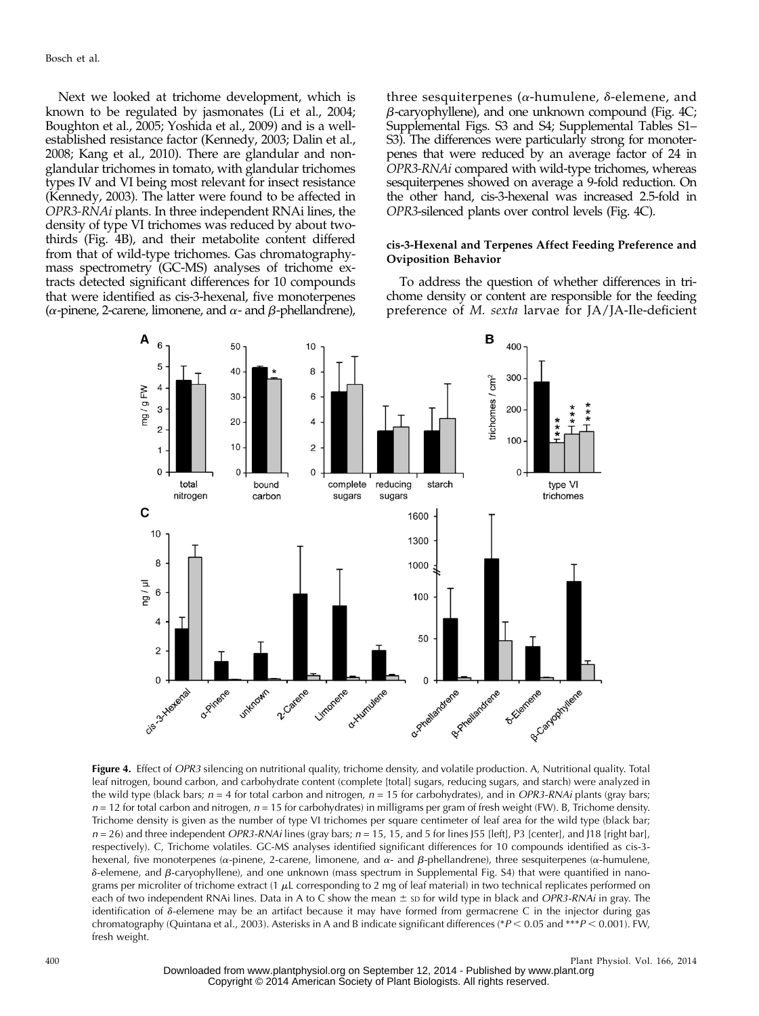Next we looked at trichome development, which is known to be regulated by jasmonates (Li et al., 2004; Boughton et al., 2005; Yoshida et al., 2009) and is a wellestablished resistance factor (Kennedy, 2003; Dalin et al., 2008; Kang et al., 2010). There are glandular and nonglandular trichomes in tomato, with glandular trichomes types IV and VI being most relevant for insect resistance (Kennedy, 2003). The latter were found to be affected in OPR3-RNAi plants. In three independent RNAi lines, the density of type VI trichomes was reduced by about twothirds (Fig. 4B), and their metabolite content differed from that of wild-type trichomes. Gas chromatographymass spectrometry (GC-MS) analyses of trichome extracts detected significant differences for 10 compounds that were identified as cis-3-hexenal, five monoterpenes  $(\alpha$ -pinene, 2-carene, limonene, and  $\alpha$ - and  $\beta$ -phellandrene),

three sesquiterpenes ( $\alpha$ -humulene,  $\delta$ -elemene, and  $\beta$ -caryophyllene), and one unknown compound (Fig. 4C; [Supplemental Figs. S3 and S4](http://www.plantphysiol.org/cgi/content/full/pp.114.237388/DC1); [Supplemental Tables S1](http://www.plantphysiol.org/cgi/content/full/pp.114.237388/DC1)– [S3\)](http://www.plantphysiol.org/cgi/content/full/pp.114.237388/DC1). The differences were particularly strong for monoterpenes that were reduced by an average factor of 24 in OPR3-RNAi compared with wild-type trichomes, whereas sesquiterpenes showed on average a 9-fold reduction. On the other hand, cis-3-hexenal was increased 2.5-fold in OPR3-silenced plants over control levels (Fig. 4C).

# cis-3-Hexenal and Terpenes Affect Feeding Preference and Oviposition Behavior

To address the question of whether differences in trichome density or content are responsible for the feeding preference of M. sexta larvae for JA/JA-Ile-deficient



Figure 4. Effect of OPR3 silencing on nutritional quality, trichome density, and volatile production. A, Nutritional quality. Total leaf nitrogen, bound carbon, and carbohydrate content (complete [total] sugars, reducing sugars, and starch) were analyzed in the wild type (black bars;  $n = 4$  for total carbon and nitrogen,  $n = 15$  for carbohydrates), and in OPR3-RNAi plants (gray bars;  $n = 12$  for total carbon and nitrogen,  $n = 15$  for carbohydrates) in milligrams per gram of fresh weight (FW). B, Trichome density. Trichome density is given as the number of type VI trichomes per square centimeter of leaf area for the wild type (black bar;  $n = 26$ ) and three independent *OPR3-RNAi* lines (gray bars;  $n = 15$ , 15, and 5 for lines J55 [left], P3 [center], and J18 [right bar], respectively). C, Trichome volatiles. GC-MS analyses identified significant differences for 10 compounds identified as cis-3 hexenal, five monoterpenes ( $\alpha$ -pinene, 2-carene, limonene, and  $\alpha$ - and  $\beta$ -phellandrene), three sesquiterpenes ( $\alpha$ -humulene,  $\delta$ -elemene, and  $\beta$ -caryophyllene), and one unknown (mass spectrum in [Supplemental Fig. S4\)](http://www.plantphysiol.org/cgi/content/full/pp.114.237388/DC1) that were quantified in nanograms per microliter of trichome extract (1  $\mu$ L corresponding to 2 mg of leaf material) in two technical replicates performed on each of two independent RNAi lines. Data in A to C show the mean  $\pm$  so for wild type in black and OPR3-RNAi in gray. The identification of  $\delta$ -elemene may be an artifact because it may have formed from germacrene C in the injector during gas chromatography (Quintana et al., 2003). Asterisks in A and B indicate significant differences (\*P < 0.05 and \*\*\*P < 0.001). FW, fresh weight.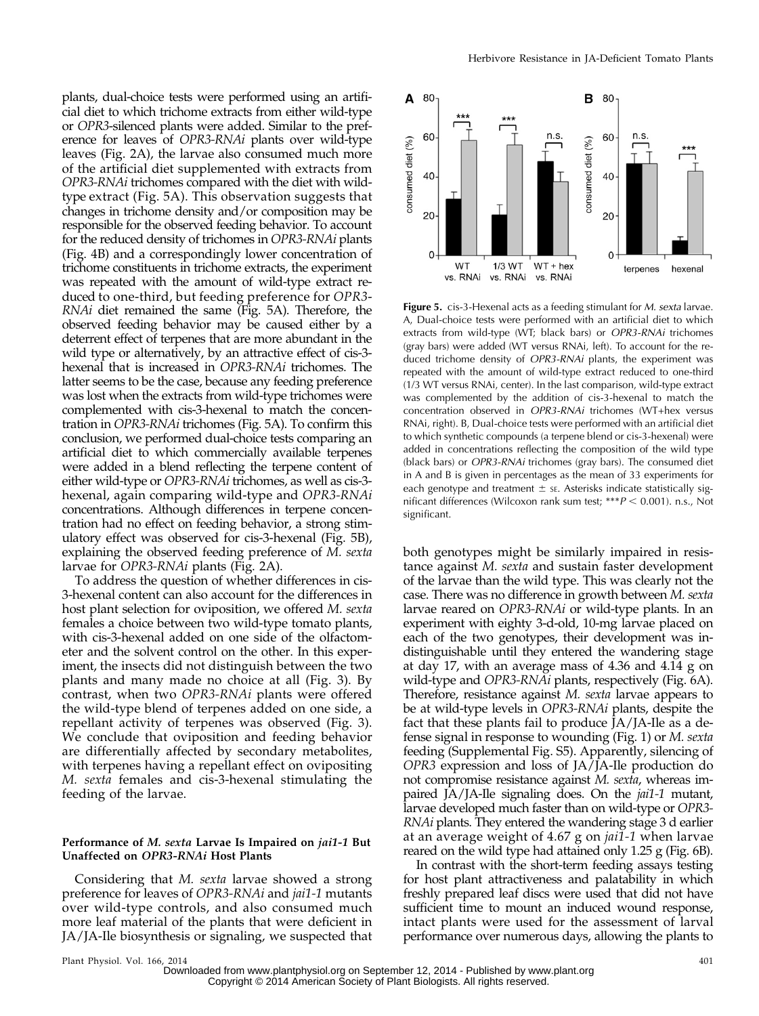plants, dual-choice tests were performed using an artificial diet to which trichome extracts from either wild-type or OPR3-silenced plants were added. Similar to the preference for leaves of OPR3-RNAi plants over wild-type leaves (Fig. 2A), the larvae also consumed much more of the artificial diet supplemented with extracts from OPR3-RNAi trichomes compared with the diet with wildtype extract (Fig. 5A). This observation suggests that changes in trichome density and/or composition may be responsible for the observed feeding behavior. To account for the reduced density of trichomes in OPR3-RNAi plants (Fig. 4B) and a correspondingly lower concentration of trichome constituents in trichome extracts, the experiment was repeated with the amount of wild-type extract reduced to one-third, but feeding preference for OPR3- RNAi diet remained the same (Fig. 5A). Therefore, the observed feeding behavior may be caused either by a deterrent effect of terpenes that are more abundant in the wild type or alternatively, by an attractive effect of cis-3 hexenal that is increased in OPR3-RNAi trichomes. The latter seems to be the case, because any feeding preference was lost when the extracts from wild-type trichomes were complemented with cis-3-hexenal to match the concentration in OPR3-RNAi trichomes (Fig. 5A). To confirm this conclusion, we performed dual-choice tests comparing an artificial diet to which commercially available terpenes were added in a blend reflecting the terpene content of either wild-type or OPR3-RNAi trichomes, as well as cis-3 hexenal, again comparing wild-type and OPR3-RNAi concentrations. Although differences in terpene concentration had no effect on feeding behavior, a strong stimulatory effect was observed for cis-3-hexenal (Fig. 5B), explaining the observed feeding preference of M. sexta larvae for OPR3-RNAi plants (Fig. 2A).

To address the question of whether differences in cis-3-hexenal content can also account for the differences in host plant selection for oviposition, we offered M. sexta females a choice between two wild-type tomato plants, with cis-3-hexenal added on one side of the olfactometer and the solvent control on the other. In this experiment, the insects did not distinguish between the two plants and many made no choice at all (Fig. 3). By contrast, when two OPR3-RNAi plants were offered the wild-type blend of terpenes added on one side, a repellant activity of terpenes was observed (Fig. 3). We conclude that oviposition and feeding behavior are differentially affected by secondary metabolites, with terpenes having a repellant effect on ovipositing M. sexta females and cis-3-hexenal stimulating the feeding of the larvae.

# Performance of M. sexta Larvae Is Impaired on jai1-1 But Unaffected on OPR3-RNAi Host Plants

Considering that M. sexta larvae showed a strong preference for leaves of OPR3-RNAi and jai1-1 mutants over wild-type controls, and also consumed much more leaf material of the plants that were deficient in JA/JA-Ile biosynthesis or signaling, we suspected that



Figure 5. cis-3-Hexenal acts as a feeding stimulant for M. sexta larvae. A, Dual-choice tests were performed with an artificial diet to which extracts from wild-type (WT; black bars) or OPR3-RNAi trichomes (gray bars) were added (WT versus RNAi, left). To account for the reduced trichome density of OPR3-RNAi plants, the experiment was repeated with the amount of wild-type extract reduced to one-third (1/3 WT versus RNAi, center). In the last comparison, wild-type extract was complemented by the addition of cis-3-hexenal to match the concentration observed in OPR3-RNAi trichomes (WT+hex versus RNAi, right). B, Dual-choice tests were performed with an artificial diet to which synthetic compounds (a terpene blend or cis-3-hexenal) were added in concentrations reflecting the composition of the wild type (black bars) or OPR3-RNAi trichomes (gray bars). The consumed diet in A and B is given in percentages as the mean of 33 experiments for each genotype and treatment  $\pm$  se. Asterisks indicate statistically significant differences (Wilcoxon rank sum test;  $***P$  < 0.001). n.s., Not significant.

both genotypes might be similarly impaired in resistance against M. sexta and sustain faster development of the larvae than the wild type. This was clearly not the case. There was no difference in growth between M. sexta larvae reared on OPR3-RNAi or wild-type plants. In an experiment with eighty 3-d-old, 10-mg larvae placed on each of the two genotypes, their development was indistinguishable until they entered the wandering stage at day 17, with an average mass of 4.36 and 4.14 g on wild-type and *OPR3-RNAi* plants, respectively (Fig. 6A). Therefore, resistance against M. sexta larvae appears to be at wild-type levels in OPR3-RNAi plants, despite the fact that these plants fail to produce  $\tilde{A}/\tilde{A}$ -Ile as a defense signal in response to wounding (Fig. 1) or M. sexta feeding [\(Supplemental Fig. S5\)](http://www.plantphysiol.org/cgi/content/full/pp.114.237388/DC1). Apparently, silencing of OPR3 expression and loss of JA/JA-Ile production do not compromise resistance against M. sexta, whereas impaired JA/JA-Ile signaling does. On the *jai1-1* mutant, larvae developed much faster than on wild-type or OPR3- RNAi plants. They entered the wandering stage 3 d earlier at an average weight of 4.67 g on jai1-1 when larvae reared on the wild type had attained only 1.25 g (Fig. 6B).

In contrast with the short-term feeding assays testing for host plant attractiveness and palatability in which freshly prepared leaf discs were used that did not have sufficient time to mount an induced wound response, intact plants were used for the assessment of larval performance over numerous days, allowing the plants to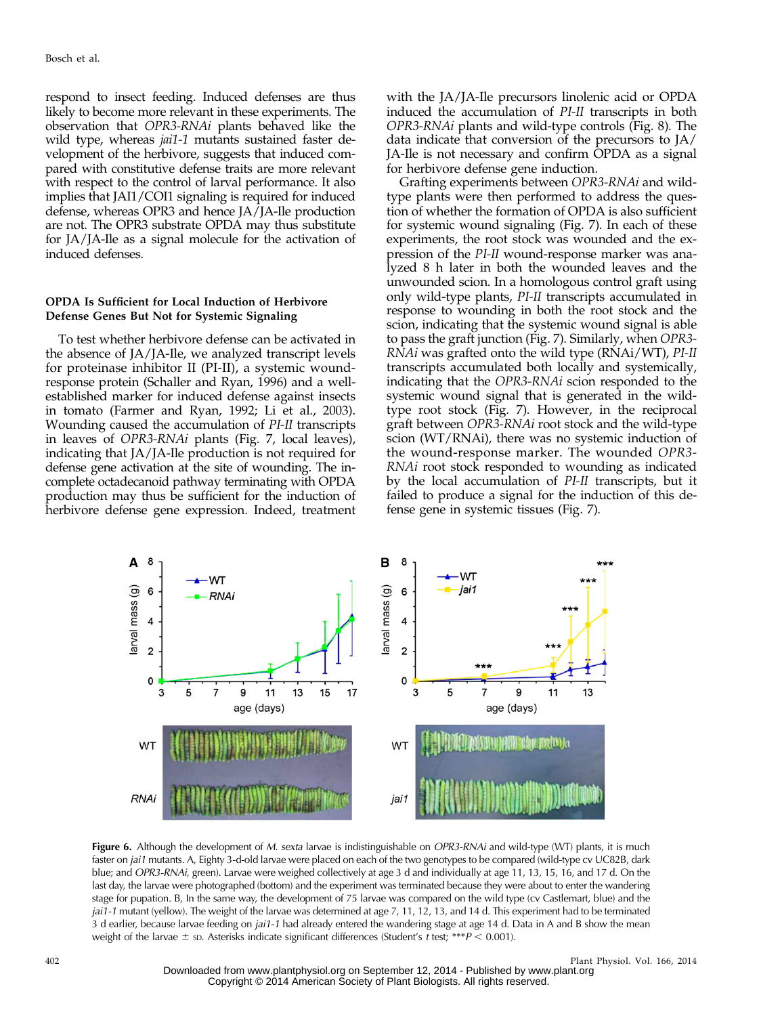respond to insect feeding. Induced defenses are thus likely to become more relevant in these experiments. The observation that OPR3-RNAi plants behaved like the wild type, whereas *jai1-1* mutants sustained faster development of the herbivore, suggests that induced compared with constitutive defense traits are more relevant with respect to the control of larval performance. It also implies that JAI1/COI1 signaling is required for induced defense, whereas OPR3 and hence JA/JA-Ile production are not. The OPR3 substrate OPDA may thus substitute for JA/JA-Ile as a signal molecule for the activation of induced defenses.

# OPDA Is Sufficient for Local Induction of Herbivore Defense Genes But Not for Systemic Signaling

To test whether herbivore defense can be activated in the absence of JA/JA-Ile, we analyzed transcript levels for proteinase inhibitor II (PI-II), a systemic woundresponse protein (Schaller and Ryan, 1996) and a wellestablished marker for induced defense against insects in tomato (Farmer and Ryan, 1992; Li et al., 2003). Wounding caused the accumulation of PI-II transcripts in leaves of OPR3-RNAi plants (Fig. 7, local leaves), indicating that JA/JA-Ile production is not required for defense gene activation at the site of wounding. The incomplete octadecanoid pathway terminating with OPDA production may thus be sufficient for the induction of herbivore defense gene expression. Indeed, treatment with the JA/JA-Ile precursors linolenic acid or OPDA induced the accumulation of PI-II transcripts in both OPR3-RNAi plants and wild-type controls (Fig. 8). The data indicate that conversion of the precursors to JA/ JA-Ile is not necessary and confirm OPDA as a signal for herbivore defense gene induction.

Grafting experiments between OPR3-RNAi and wildtype plants were then performed to address the question of whether the formation of OPDA is also sufficient for systemic wound signaling (Fig. 7). In each of these experiments, the root stock was wounded and the expression of the PI-II wound-response marker was analyzed 8 h later in both the wounded leaves and the unwounded scion. In a homologous control graft using only wild-type plants, PI-II transcripts accumulated in response to wounding in both the root stock and the scion, indicating that the systemic wound signal is able to pass the graft junction (Fig. 7). Similarly, when OPR3- RNAi was grafted onto the wild type (RNAi/WT), PI-II transcripts accumulated both locally and systemically, indicating that the OPR3-RNAi scion responded to the systemic wound signal that is generated in the wildtype root stock (Fig. 7). However, in the reciprocal graft between OPR3-RNAi root stock and the wild-type scion (WT/RNAi), there was no systemic induction of the wound-response marker. The wounded OPR3- RNAi root stock responded to wounding as indicated by the local accumulation of PI-II transcripts, but it failed to produce a signal for the induction of this defense gene in systemic tissues (Fig. 7).



Figure 6. Although the development of M. sexta larvae is indistinguishable on OPR3-RNAi and wild-type (WT) plants, it is much faster on jai1 mutants. A, Eighty 3-d-old larvae were placed on each of the two genotypes to be compared (wild-type cv UC82B, dark blue; and OPR3-RNAi, green). Larvae were weighed collectively at age 3 d and individually at age 11, 13, 15, 16, and 17 d. On the last day, the larvae were photographed (bottom) and the experiment was terminated because they were about to enter the wandering stage for pupation. B, In the same way, the development of 75 larvae was compared on the wild type (cv Castlemart, blue) and the jai1-1 mutant (yellow). The weight of the larvae was determined at age 7, 11, 12, 13, and 14 d. This experiment had to be terminated 3 d earlier, because larvae feeding on jai1-1 had already entered the wandering stage at age 14 d. Data in A and B show the mean weight of the larvae  $\pm$  sp. Asterisks indicate significant differences (Student's t test; \*\*\*P < 0.001).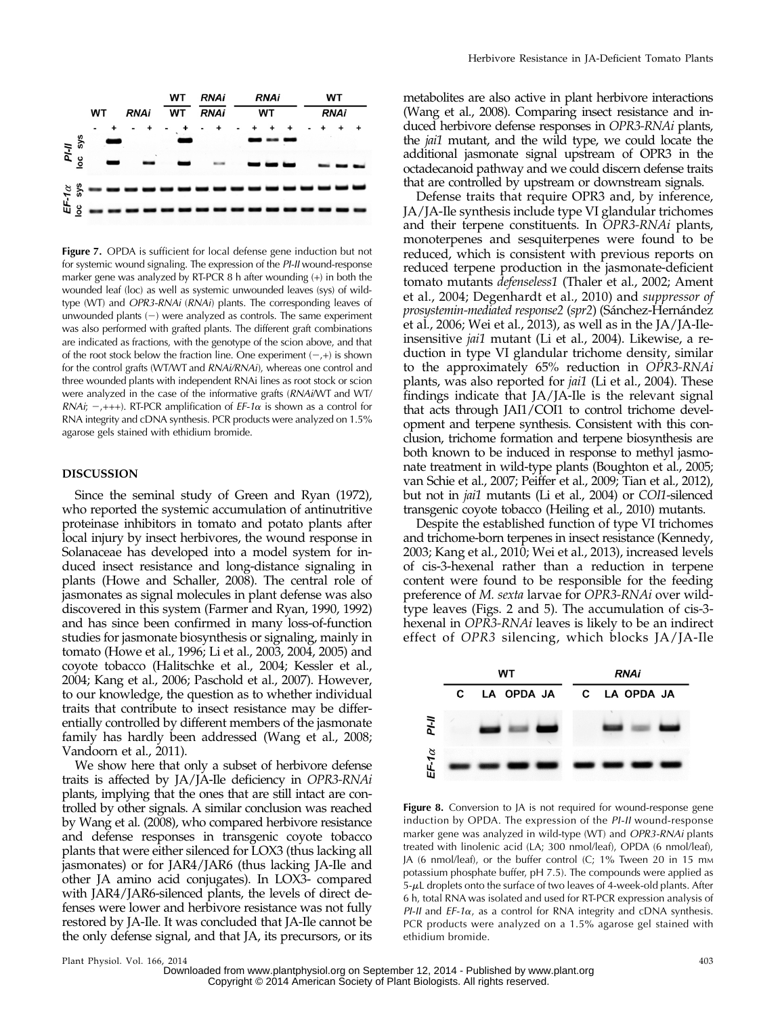

Figure 7. OPDA is sufficient for local defense gene induction but not for systemic wound signaling. The expression of the PI-II wound-response marker gene was analyzed by RT-PCR 8 h after wounding (+) in both the wounded leaf (loc) as well as systemic unwounded leaves (sys) of wildtype (WT) and OPR3-RNAi (RNAi) plants. The corresponding leaves of unwounded plants  $(-)$  were analyzed as controls. The same experiment was also performed with grafted plants. The different graft combinations are indicated as fractions, with the genotype of the scion above, and that of the root stock below the fraction line. One experiment  $(-,+)$  is shown for the control grafts (WT/WT and RNAi/RNAi), whereas one control and three wounded plants with independent RNAi lines as root stock or scion were analyzed in the case of the informative grafts (RNAi/WT and WT/ RNAi;  $-$ , +++). RT-PCR amplification of  $EF$ -1 $\alpha$  is shown as a control for RNA integrity and cDNA synthesis. PCR products were analyzed on 1.5% agarose gels stained with ethidium bromide.

## DISCUSSION

Since the seminal study of Green and Ryan (1972), who reported the systemic accumulation of antinutritive proteinase inhibitors in tomato and potato plants after local injury by insect herbivores, the wound response in Solanaceae has developed into a model system for induced insect resistance and long-distance signaling in plants (Howe and Schaller, 2008). The central role of jasmonates as signal molecules in plant defense was also discovered in this system (Farmer and Ryan, 1990, 1992) and has since been confirmed in many loss-of-function studies for jasmonate biosynthesis or signaling, mainly in tomato (Howe et al., 1996; Li et al., 2003, 2004, 2005) and coyote tobacco (Halitschke et al., 2004; Kessler et al., 2004; Kang et al., 2006; Paschold et al., 2007). However, to our knowledge, the question as to whether individual traits that contribute to insect resistance may be differentially controlled by different members of the jasmonate family has hardly been addressed (Wang et al., 2008; Vandoorn et al., 2011).

We show here that only a subset of herbivore defense traits is affected by JA/JA-Ile deficiency in OPR3-RNAi plants, implying that the ones that are still intact are controlled by other signals. A similar conclusion was reached by Wang et al. (2008), who compared herbivore resistance and defense responses in transgenic coyote tobacco plants that were either silenced for LOX3 (thus lacking all jasmonates) or for JAR4/JAR6 (thus lacking JA-Ile and other JA amino acid conjugates). In LOX3- compared with JAR4/JAR6-silenced plants, the levels of direct defenses were lower and herbivore resistance was not fully restored by JA-Ile. It was concluded that JA-Ile cannot be the only defense signal, and that JA, its precursors, or its metabolites are also active in plant herbivore interactions (Wang et al., 2008). Comparing insect resistance and induced herbivore defense responses in OPR3-RNAi plants, the jai1 mutant, and the wild type, we could locate the additional jasmonate signal upstream of OPR3 in the octadecanoid pathway and we could discern defense traits that are controlled by upstream or downstream signals.

Defense traits that require OPR3 and, by inference, JA/JA-Ile synthesis include type VI glandular trichomes and their terpene constituents. In OPR3-RNAi plants, monoterpenes and sesquiterpenes were found to be reduced, which is consistent with previous reports on reduced terpene production in the jasmonate-deficient tomato mutants defenseless1 (Thaler et al., 2002; Ament et al., 2004; Degenhardt et al., 2010) and suppressor of prosystemin-mediated response2 (spr2) (Sánchez-Hernández et al., 2006; Wei et al., 2013), as well as in the JA/JA-Ileinsensitive jai1 mutant (Li et al., 2004). Likewise, a reduction in type VI glandular trichome density, similar to the approximately 65% reduction in OPR3-RNAi plants, was also reported for jai1 (Li et al., 2004). These findings indicate that JA/JA-Ile is the relevant signal that acts through JAI1/COI1 to control trichome development and terpene synthesis. Consistent with this conclusion, trichome formation and terpene biosynthesis are both known to be induced in response to methyl jasmonate treatment in wild-type plants (Boughton et al., 2005; van Schie et al., 2007; Peiffer et al., 2009; Tian et al., 2012), but not in jai1 mutants (Li et al., 2004) or COI1-silenced transgenic coyote tobacco (Heiling et al., 2010) mutants.

Despite the established function of type VI trichomes and trichome-born terpenes in insect resistance (Kennedy, 2003; Kang et al., 2010; Wei et al., 2013), increased levels of cis-3-hexenal rather than a reduction in terpene content were found to be responsible for the feeding preference of M. sexta larvae for OPR3-RNAi over wildtype leaves (Figs. 2 and 5). The accumulation of cis-3 hexenal in OPR3-RNAi leaves is likely to be an indirect effect of OPR3 silencing, which blocks JA/JA-Ile



Figure 8. Conversion to JA is not required for wound-response gene induction by OPDA. The expression of the PI-II wound-response marker gene was analyzed in wild-type (WT) and OPR3-RNAi plants treated with linolenic acid (LA; 300 nmol/leaf), OPDA (6 nmol/leaf), JA (6 nmol/leaf), or the buffer control (C; 1% Tween 20 in 15 mm potassium phosphate buffer, pH 7.5). The compounds were applied as  $5-\mu L$  droplets onto the surface of two leaves of 4-week-old plants. After 6 h, total RNA was isolated and used for RT-PCR expression analysis of PI-II and  $EF$ -1 $\alpha$ , as a control for RNA integrity and cDNA synthesis. PCR products were analyzed on a 1.5% agarose gel stained with ethidium bromide.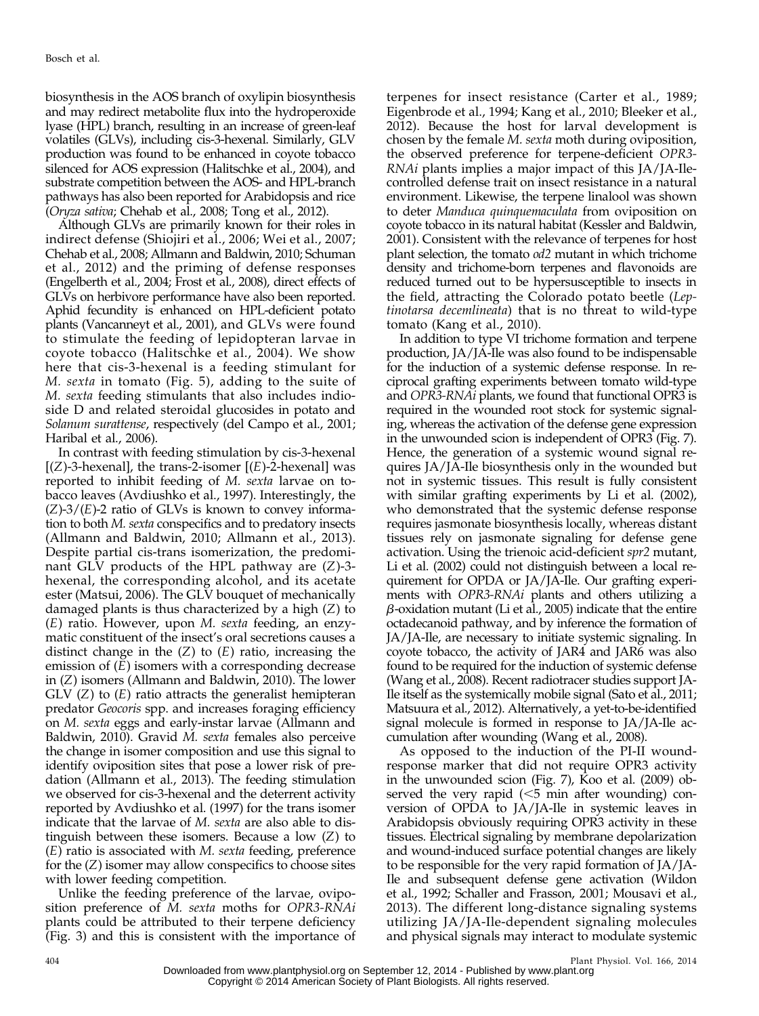biosynthesis in the AOS branch of oxylipin biosynthesis and may redirect metabolite flux into the hydroperoxide lyase (HPL) branch, resulting in an increase of green-leaf volatiles (GLVs), including cis-3-hexenal. Similarly, GLV production was found to be enhanced in coyote tobacco silenced for AOS expression (Halitschke et al., 2004), and substrate competition between the AOS- and HPL-branch pathways has also been reported for Arabidopsis and rice (Oryza sativa; Chehab et al., 2008; Tong et al., 2012).

Although GLVs are primarily known for their roles in indirect defense (Shiojiri et al., 2006; Wei et al., 2007; Chehab et al., 2008; Allmann and Baldwin, 2010; Schuman et al., 2012) and the priming of defense responses (Engelberth et al., 2004; Frost et al., 2008), direct effects of GLVs on herbivore performance have also been reported. Aphid fecundity is enhanced on HPL-deficient potato plants (Vancanneyt et al., 2001), and GLVs were found to stimulate the feeding of lepidopteran larvae in coyote tobacco (Halitschke et al., 2004). We show here that cis-3-hexenal is a feeding stimulant for M. sexta in tomato (Fig. 5), adding to the suite of M. sexta feeding stimulants that also includes indioside D and related steroidal glucosides in potato and Solanum surattense, respectively (del Campo et al., 2001; Haribal et al., 2006).

In contrast with feeding stimulation by cis-3-hexenal  $[(Z)-3$ -hexenal], the trans-2-isomer  $[(E)-2$ -hexenal] was reported to inhibit feeding of M. sexta larvae on tobacco leaves (Avdiushko et al., 1997). Interestingly, the  $(Z)$ -3/ $(E)$ -2 ratio of GLVs is known to convey information to both M. sexta conspecifics and to predatory insects (Allmann and Baldwin, 2010; Allmann et al., 2013). Despite partial cis-trans isomerization, the predominant GLV products of the HPL pathway are (Z)-3 hexenal, the corresponding alcohol, and its acetate ester (Matsui, 2006). The GLV bouquet of mechanically damaged plants is thus characterized by a high (Z) to (E) ratio. However, upon M. sexta feeding, an enzymatic constituent of the insect's oral secretions causes a distinct change in the  $(Z)$  to  $(E)$  ratio, increasing the emission of (E) isomers with a corresponding decrease in (Z) isomers (Allmann and Baldwin, 2010). The lower  $GLV (Z)$  to  $(E)$  ratio attracts the generalist hemipteran predator Geocoris spp. and increases foraging efficiency on M. sexta eggs and early-instar larvae (Allmann and Baldwin, 2010). Gravid M. sexta females also perceive the change in isomer composition and use this signal to identify oviposition sites that pose a lower risk of predation (Allmann et al., 2013). The feeding stimulation we observed for cis-3-hexenal and the deterrent activity reported by Avdiushko et al. (1997) for the trans isomer indicate that the larvae of M. sexta are also able to distinguish between these isomers. Because a low (Z) to  $(E)$  ratio is associated with M. sexta feeding, preference for the (Z) isomer may allow conspecifics to choose sites with lower feeding competition.

Unlike the feeding preference of the larvae, oviposition preference of M. sexta moths for OPR3-RNAi plants could be attributed to their terpene deficiency (Fig. 3) and this is consistent with the importance of

terpenes for insect resistance (Carter et al., 1989; Eigenbrode et al., 1994; Kang et al., 2010; Bleeker et al., 2012). Because the host for larval development is chosen by the female M. sexta moth during oviposition, the observed preference for terpene-deficient OPR3- RNAi plants implies a major impact of this JA/JA-Ilecontrolled defense trait on insect resistance in a natural environment. Likewise, the terpene linalool was shown to deter Manduca quinquemaculata from oviposition on coyote tobacco in its natural habitat (Kessler and Baldwin, 2001). Consistent with the relevance of terpenes for host plant selection, the tomato od2 mutant in which trichome density and trichome-born terpenes and flavonoids are reduced turned out to be hypersusceptible to insects in the field, attracting the Colorado potato beetle (Leptinotarsa decemlineata) that is no threat to wild-type tomato (Kang et al., 2010).

In addition to type VI trichome formation and terpene production, JA/JA-Ile was also found to be indispensable for the induction of a systemic defense response. In reciprocal grafting experiments between tomato wild-type and OPR3-RNAi plants, we found that functional OPR3 is required in the wounded root stock for systemic signaling, whereas the activation of the defense gene expression in the unwounded scion is independent of OPR3 (Fig. 7). Hence, the generation of a systemic wound signal requires JA/JA-Ile biosynthesis only in the wounded but not in systemic tissues. This result is fully consistent with similar grafting experiments by Li et al. (2002), who demonstrated that the systemic defense response requires jasmonate biosynthesis locally, whereas distant tissues rely on jasmonate signaling for defense gene activation. Using the trienoic acid-deficient spr2 mutant, Li et al. (2002) could not distinguish between a local requirement for OPDA or JA/JA-Ile. Our grafting experiments with *OPR3-RNAi* plants and others utilizing a  $\beta$ -oxidation mutant (Li et al., 2005) indicate that the entire octadecanoid pathway, and by inference the formation of JA/JA-Ile, are necessary to initiate systemic signaling. In coyote tobacco, the activity of JAR4 and JAR6 was also found to be required for the induction of systemic defense (Wang et al., 2008). Recent radiotracer studies support JA-Ile itself as the systemically mobile signal (Sato et al., 2011; Matsuura et al., 2012). Alternatively, a yet-to-be-identified signal molecule is formed in response to JA/JA-Ile accumulation after wounding (Wang et al., 2008).

As opposed to the induction of the PI-II woundresponse marker that did not require OPR3 activity in the unwounded scion (Fig. 7), Koo et al. (2009) observed the very rapid  $(<5$  min after wounding) conversion of OPDA to JA/JA-Ile in systemic leaves in Arabidopsis obviously requiring OPR3 activity in these tissues. Electrical signaling by membrane depolarization and wound-induced surface potential changes are likely to be responsible for the very rapid formation of JA/JA-Ile and subsequent defense gene activation (Wildon et al., 1992; Schaller and Frasson, 2001; Mousavi et al., 2013). The different long-distance signaling systems utilizing JA/JA-Ile-dependent signaling molecules and physical signals may interact to modulate systemic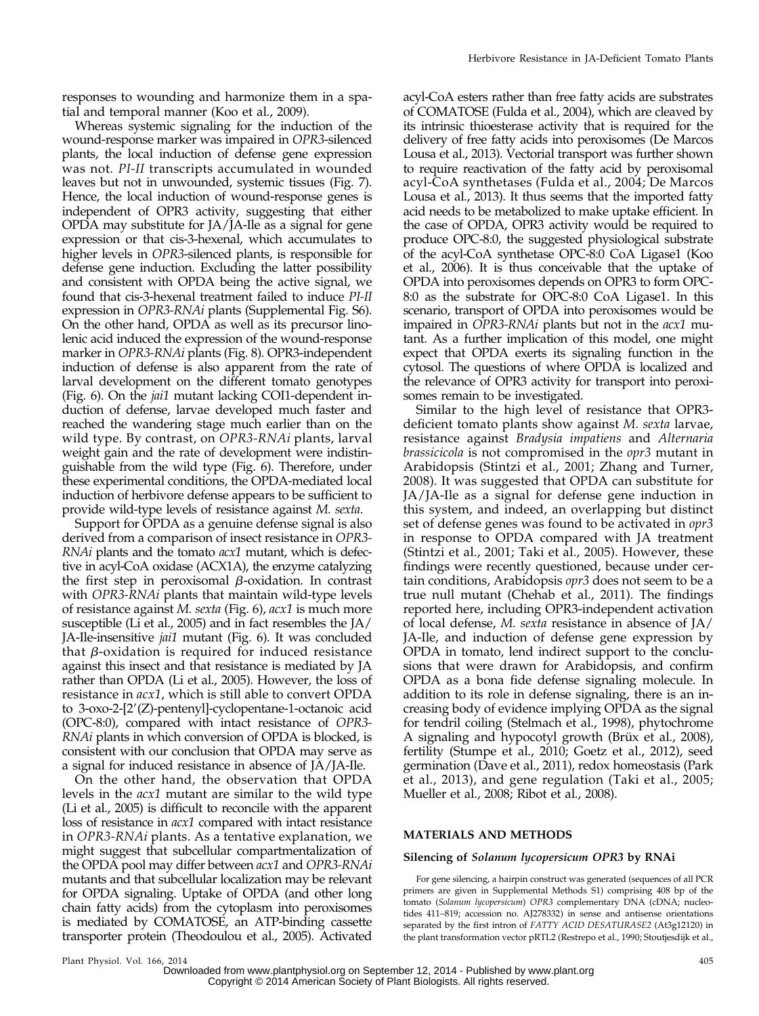responses to wounding and harmonize them in a spatial and temporal manner (Koo et al., 2009).

Whereas systemic signaling for the induction of the wound-response marker was impaired in OPR3-silenced plants, the local induction of defense gene expression was not. PI-II transcripts accumulated in wounded leaves but not in unwounded, systemic tissues (Fig. 7). Hence, the local induction of wound-response genes is independent of OPR3 activity, suggesting that either OPDA may substitute for JA/JA-Ile as a signal for gene expression or that cis-3-hexenal, which accumulates to higher levels in OPR3-silenced plants, is responsible for defense gene induction. Excluding the latter possibility and consistent with OPDA being the active signal, we found that cis-3-hexenal treatment failed to induce PI-II expression in OPR3-RNAi plants [\(Supplemental Fig. S6](http://www.plantphysiol.org/cgi/content/full/pp.114.237388/DC1)). On the other hand, OPDA as well as its precursor linolenic acid induced the expression of the wound-response marker in OPR3-RNAi plants (Fig. 8). OPR3-independent induction of defense is also apparent from the rate of larval development on the different tomato genotypes (Fig. 6). On the jai1 mutant lacking COI1-dependent induction of defense, larvae developed much faster and reached the wandering stage much earlier than on the wild type. By contrast, on OPR3-RNAi plants, larval weight gain and the rate of development were indistinguishable from the wild type (Fig. 6). Therefore, under these experimental conditions, the OPDA-mediated local induction of herbivore defense appears to be sufficient to provide wild-type levels of resistance against M. sexta.

Support for OPDA as a genuine defense signal is also derived from a comparison of insect resistance in OPR3- RNAi plants and the tomato acx1 mutant, which is defective in acyl-CoA oxidase (ACX1A), the enzyme catalyzing the first step in peroxisomal  $\beta$ -oxidation. In contrast with *OPR3-RNAi* plants that maintain wild-type levels of resistance against M. sexta (Fig. 6), acx1 is much more susceptible (Li et al., 2005) and in fact resembles the JA/ JA-Ile-insensitive jai1 mutant (Fig. 6). It was concluded that  $\beta$ -oxidation is required for induced resistance against this insect and that resistance is mediated by JA rather than OPDA (Li et al., 2005). However, the loss of resistance in acx1, which is still able to convert OPDA to  $3$ -oxo-2- $[2'(Z)$ -pentenyl]-cyclopentane-1-octanoic acid (OPC-8:0), compared with intact resistance of OPR3- RNAi plants in which conversion of OPDA is blocked, is consistent with our conclusion that OPDA may serve as a signal for induced resistance in absence of JA/JA-Ile.

On the other hand, the observation that OPDA levels in the acx1 mutant are similar to the wild type (Li et al., 2005) is difficult to reconcile with the apparent loss of resistance in acx1 compared with intact resistance in OPR3-RNAi plants. As a tentative explanation, we might suggest that subcellular compartmentalization of the OPDA pool may differ between acx1 and OPR3-RNAi mutants and that subcellular localization may be relevant for OPDA signaling. Uptake of OPDA (and other long chain fatty acids) from the cytoplasm into peroxisomes is mediated by COMATOSE, an ATP-binding cassette transporter protein (Theodoulou et al., 2005). Activated

acyl-CoA esters rather than free fatty acids are substrates of COMATOSE (Fulda et al., 2004), which are cleaved by its intrinsic thioesterase activity that is required for the delivery of free fatty acids into peroxisomes (De Marcos Lousa et al., 2013). Vectorial transport was further shown to require reactivation of the fatty acid by peroxisomal acyl-CoA synthetases (Fulda et al., 2004; De Marcos Lousa et al., 2013). It thus seems that the imported fatty acid needs to be metabolized to make uptake efficient. In the case of OPDA, OPR3 activity would be required to produce OPC-8:0, the suggested physiological substrate of the acyl-CoA synthetase OPC-8:0 CoA Ligase1 (Koo et al., 2006). It is thus conceivable that the uptake of OPDA into peroxisomes depends on OPR3 to form OPC-8:0 as the substrate for OPC-8:0 CoA Ligase1. In this scenario, transport of OPDA into peroxisomes would be impaired in OPR3-RNAi plants but not in the acx1 mutant. As a further implication of this model, one might expect that OPDA exerts its signaling function in the cytosol. The questions of where OPDA is localized and the relevance of OPR3 activity for transport into peroxisomes remain to be investigated.

Similar to the high level of resistance that OPR3 deficient tomato plants show against M. sexta larvae, resistance against Bradysia impatiens and Alternaria brassicicola is not compromised in the opr3 mutant in Arabidopsis (Stintzi et al., 2001; Zhang and Turner, 2008). It was suggested that OPDA can substitute for JA/JA-Ile as a signal for defense gene induction in this system, and indeed, an overlapping but distinct set of defense genes was found to be activated in opr3 in response to OPDA compared with JA treatment (Stintzi et al., 2001; Taki et al., 2005). However, these findings were recently questioned, because under certain conditions, Arabidopsis opr3 does not seem to be a true null mutant (Chehab et al., 2011). The findings reported here, including OPR3-independent activation of local defense, M. sexta resistance in absence of JA/ JA-Ile, and induction of defense gene expression by OPDA in tomato, lend indirect support to the conclusions that were drawn for Arabidopsis, and confirm OPDA as a bona fide defense signaling molecule. In addition to its role in defense signaling, there is an increasing body of evidence implying OPDA as the signal for tendril coiling (Stelmach et al., 1998), phytochrome A signaling and hypocotyl growth (Brüx et al., 2008), fertility (Stumpe et al., 2010; Goetz et al., 2012), seed germination (Dave et al., 2011), redox homeostasis (Park et al., 2013), and gene regulation (Taki et al., 2005; Mueller et al., 2008; Ribot et al., 2008).

## MATERIALS AND METHODS

# Silencing of Solanum lycopersicum OPR3 by RNAi

For gene silencing, a hairpin construct was generated (sequences of all PCR primers are given in [Supplemental Methods S1\)](http://www.plantphysiol.org/cgi/content/full/pp.114.237388/DC1) comprising 408 bp of the tomato (Solanum lycopersicum) OPR3 complementary DNA (cDNA; nucleotides 411–819; accession no. AJ278332) in sense and antisense orientations separated by the first intron of FATTY ACID DESATURASE2 (At3g12120) in the plant transformation vector pRTL2 (Restrepo et al., 1990; Stoutjesdijk et al.,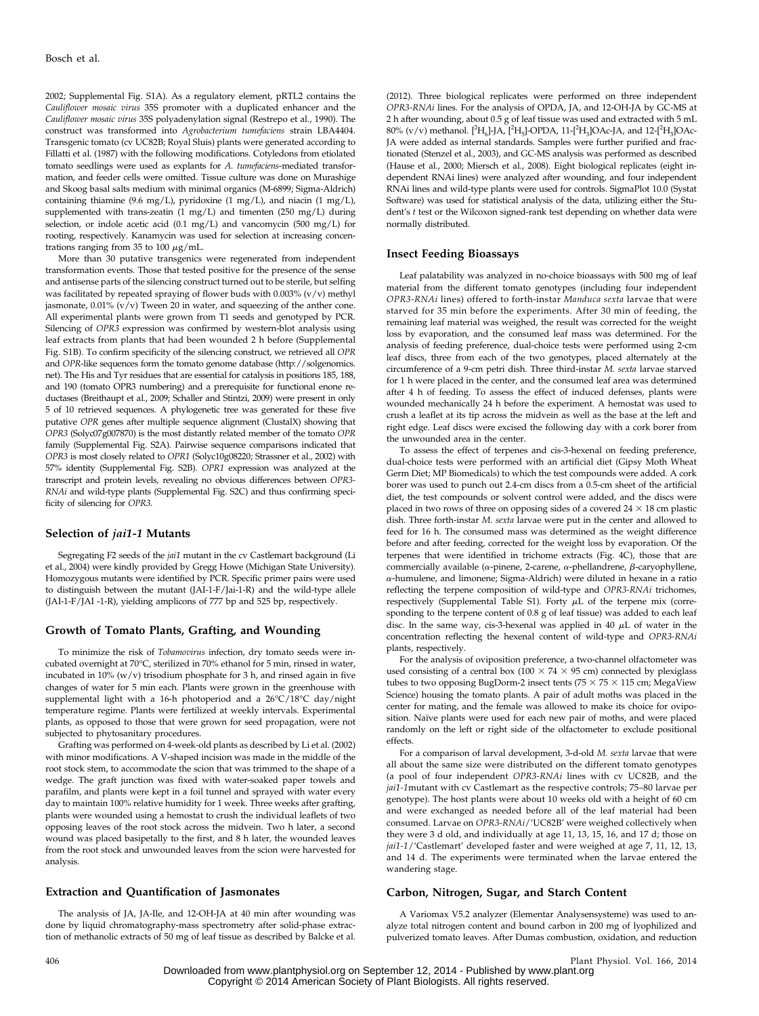2002; [Supplemental Fig. S1A](http://www.plantphysiol.org/cgi/content/full/pp.114.237388/DC1)). As a regulatory element, pRTL2 contains the Cauliflower mosaic virus 35S promoter with a duplicated enhancer and the Cauliflower mosaic virus 35S polyadenylation signal (Restrepo et al., 1990). The construct was transformed into Agrobacterium tumefaciens strain LBA4404. Transgenic tomato (cv UC82B; Royal Sluis) plants were generated according to Fillatti et al. (1987) with the following modifications. Cotyledons from etiolated tomato seedlings were used as explants for A. tumefaciens-mediated transformation, and feeder cells were omitted. Tissue culture was done on Murashige and Skoog basal salts medium with minimal organics (M-6899; Sigma-Aldrich) containing thiamine (9.6 mg/L), pyridoxine (1 mg/L), and niacin (1 mg/L), supplemented with trans-zeatin (1 mg/L) and timenten (250 mg/L) during selection, or indole acetic acid (0.1 mg/L) and vancomycin (500 mg/L) for rooting, respectively. Kanamycin was used for selection at increasing concentrations ranging from 35 to 100  $\mu$ g/mL.

More than 30 putative transgenics were regenerated from independent transformation events. Those that tested positive for the presence of the sense and antisense parts of the silencing construct turned out to be sterile, but selfing was facilitated by repeated spraying of flower buds with 0.003% (v/v) methyl jasmonate,  $0.01\%$  (v/v) Tween 20 in water, and squeezing of the anther cone. All experimental plants were grown from T1 seeds and genotyped by PCR. Silencing of OPR3 expression was confirmed by western-blot analysis using leaf extracts from plants that had been wounded 2 h before ([Supplemental](http://www.plantphysiol.org/cgi/content/full/pp.114.237388/DC1) [Fig. S1B](http://www.plantphysiol.org/cgi/content/full/pp.114.237388/DC1)). To confirm specificity of the silencing construct, we retrieved all OPR and OPR-like sequences form the tomato genome database [\(http://solgenomics.](http://solgenomics.net) [net](http://solgenomics.net)). The His and Tyr residues that are essential for catalysis in positions 185, 188, and 190 (tomato OPR3 numbering) and a prerequisite for functional enone reductases (Breithaupt et al., 2009; Schaller and Stintzi, 2009) were present in only 5 of 10 retrieved sequences. A phylogenetic tree was generated for these five putative OPR genes after multiple sequence alignment (ClustalX) showing that OPR3 (Solyc07g007870) is the most distantly related member of the tomato OPR family ([Supplemental Fig. S2A](http://www.plantphysiol.org/cgi/content/full/pp.114.237388/DC1)). Pairwise sequence comparisons indicated that OPR3 is most closely related to OPR1 (Solyc10g08220; Strassner et al., 2002) with 57% identity [\(Supplemental Fig. S2B](http://www.plantphysiol.org/cgi/content/full/pp.114.237388/DC1)). OPR1 expression was analyzed at the transcript and protein levels, revealing no obvious differences between OPR3- RNAi and wild-type plants [\(Supplemental Fig. S2C\)](http://www.plantphysiol.org/cgi/content/full/pp.114.237388/DC1) and thus confirming specificity of silencing for OPR3.

#### Selection of *jai1-1* Mutants

Segregating F2 seeds of the *jai1* mutant in the cv Castlemart background (Li et al., 2004) were kindly provided by Gregg Howe (Michigan State University). Homozygous mutants were identified by PCR. Specific primer pairs were used to distinguish between the mutant (JAI-1-F/Jai-1-R) and the wild-type allele (JAI-1-F/JAI -1-R), yielding amplicons of 777 bp and 525 bp, respectively.

## Growth of Tomato Plants, Grafting, and Wounding

To minimize the risk of Tobamovirus infection, dry tomato seeds were incubated overnight at 70°C, sterilized in 70% ethanol for 5 min, rinsed in water, incubated in  $10\%$  (w/v) trisodium phosphate for 3 h, and rinsed again in five changes of water for 5 min each. Plants were grown in the greenhouse with supplemental light with a 16-h photoperiod and a 26°C/18°C day/night temperature regime. Plants were fertilized at weekly intervals. Experimental plants, as opposed to those that were grown for seed propagation, were not subjected to phytosanitary procedures.

Grafting was performed on 4-week-old plants as described by Li et al. (2002) with minor modifications. A V-shaped incision was made in the middle of the root stock stem, to accommodate the scion that was trimmed to the shape of a wedge. The graft junction was fixed with water-soaked paper towels and parafilm, and plants were kept in a foil tunnel and sprayed with water every day to maintain 100% relative humidity for 1 week. Three weeks after grafting, plants were wounded using a hemostat to crush the individual leaflets of two opposing leaves of the root stock across the midvein. Two h later, a second wound was placed basipetally to the first, and 8 h later, the wounded leaves from the root stock and unwounded leaves from the scion were harvested for analysis.

# Extraction and Quantification of Jasmonates

The analysis of JA, JA-Ile, and 12-OH-JA at 40 min after wounding was done by liquid chromatography-mass spectrometry after solid-phase extraction of methanolic extracts of 50 mg of leaf tissue as described by Balcke et al.

(2012). Three biological replicates were performed on three independent OPR3-RNAi lines. For the analysis of OPDA, JA, and 12-OH-JA by GC-MS at 2 h after wounding, about 0.5 g of leaf tissue was used and extracted with 5 mL  $80\%$  (v/v) methanol. [<sup>2</sup>H<sub>6</sub>]-JA, [<sup>2</sup>H<sub>5</sub>]-OPDA, 11-[<sup>2</sup>H<sub>3</sub>]OAc-JA, and 12-[<sup>2</sup>H<sub>3</sub>]OAc-JA were added as internal standards. Samples were further purified and fractionated (Stenzel et al., 2003), and GC-MS analysis was performed as described (Hause et al., 2000; Miersch et al., 2008). Eight biological replicates (eight independent RNAi lines) were analyzed after wounding, and four independent RNAi lines and wild-type plants were used for controls. SigmaPlot 10.0 (Systat Software) was used for statistical analysis of the data, utilizing either the Student's t test or the Wilcoxon signed-rank test depending on whether data were normally distributed.

## Insect Feeding Bioassays

Leaf palatability was analyzed in no-choice bioassays with 500 mg of leaf material from the different tomato genotypes (including four independent OPR3-RNAi lines) offered to forth-instar Manduca sexta larvae that were starved for 35 min before the experiments. After 30 min of feeding, the remaining leaf material was weighed, the result was corrected for the weight loss by evaporation, and the consumed leaf mass was determined. For the analysis of feeding preference, dual-choice tests were performed using 2-cm leaf discs, three from each of the two genotypes, placed alternately at the circumference of a 9-cm petri dish. Three third-instar M. sexta larvae starved for 1 h were placed in the center, and the consumed leaf area was determined after 4 h of feeding. To assess the effect of induced defenses, plants were wounded mechanically 24 h before the experiment. A hemostat was used to crush a leaflet at its tip across the midvein as well as the base at the left and right edge. Leaf discs were excised the following day with a cork borer from the unwounded area in the center.

To assess the effect of terpenes and cis-3-hexenal on feeding preference, dual-choice tests were performed with an artificial diet (Gipsy Moth Wheat Germ Diet; MP Biomedicals) to which the test compounds were added. A cork borer was used to punch out 2.4-cm discs from a 0.5-cm sheet of the artificial diet, the test compounds or solvent control were added, and the discs were placed in two rows of three on opposing sides of a covered  $24 \times 18$  cm plastic dish. Three forth-instar M. sexta larvae were put in the center and allowed to feed for 16 h. The consumed mass was determined as the weight difference before and after feeding, corrected for the weight loss by evaporation. Of the terpenes that were identified in trichome extracts (Fig. 4C), those that are commercially available ( $\alpha$ -pinene, 2-carene,  $\alpha$ -phellandrene,  $\beta$ -caryophyllene, a-humulene, and limonene; Sigma-Aldrich) were diluted in hexane in a ratio reflecting the terpene composition of wild-type and OPR3-RNAi trichomes, respectively [\(Supplemental Table S1\)](http://www.plantphysiol.org/cgi/content/full/pp.114.237388/DC1). Forty  $\mu$ L of the terpene mix (corresponding to the terpene content of 0.8 g of leaf tissue) was added to each leaf disc. In the same way, cis-3-hexenal was applied in 40  $\mu$ L of water in the concentration reflecting the hexenal content of wild-type and OPR3-RNAi plants, respectively.

For the analysis of oviposition preference, a two-channel olfactometer was used consisting of a central box ( $100 \times 74 \times 95$  cm) connected by plexiglass tubes to two opposing BugDorm-2 insect tents ( $75 \times 75 \times 115$  cm; MegaView Science) housing the tomato plants. A pair of adult moths was placed in the center for mating, and the female was allowed to make its choice for oviposition. Naïve plants were used for each new pair of moths, and were placed randomly on the left or right side of the olfactometer to exclude positional effects.

For a comparison of larval development, 3-d-old M. sexta larvae that were all about the same size were distributed on the different tomato genotypes (a pool of four independent OPR3-RNAi lines with cv UC82B, and the jai1-1mutant with cv Castlemart as the respective controls; 75–80 larvae per genotype). The host plants were about 10 weeks old with a height of 60 cm and were exchanged as needed before all of the leaf material had been consumed. Larvae on OPR3-RNAi/'UC82B' were weighed collectively when they were 3 d old, and individually at age 11, 13, 15, 16, and 17 d; those on jai1-1/'Castlemart' developed faster and were weighed at age 7, 11, 12, 13, and 14 d. The experiments were terminated when the larvae entered the wandering stage.

#### Carbon, Nitrogen, Sugar, and Starch Content

A Variomax V5.2 analyzer (Elementar Analysensysteme) was used to analyze total nitrogen content and bound carbon in 200 mg of lyophilized and pulverized tomato leaves. After Dumas combustion, oxidation, and reduction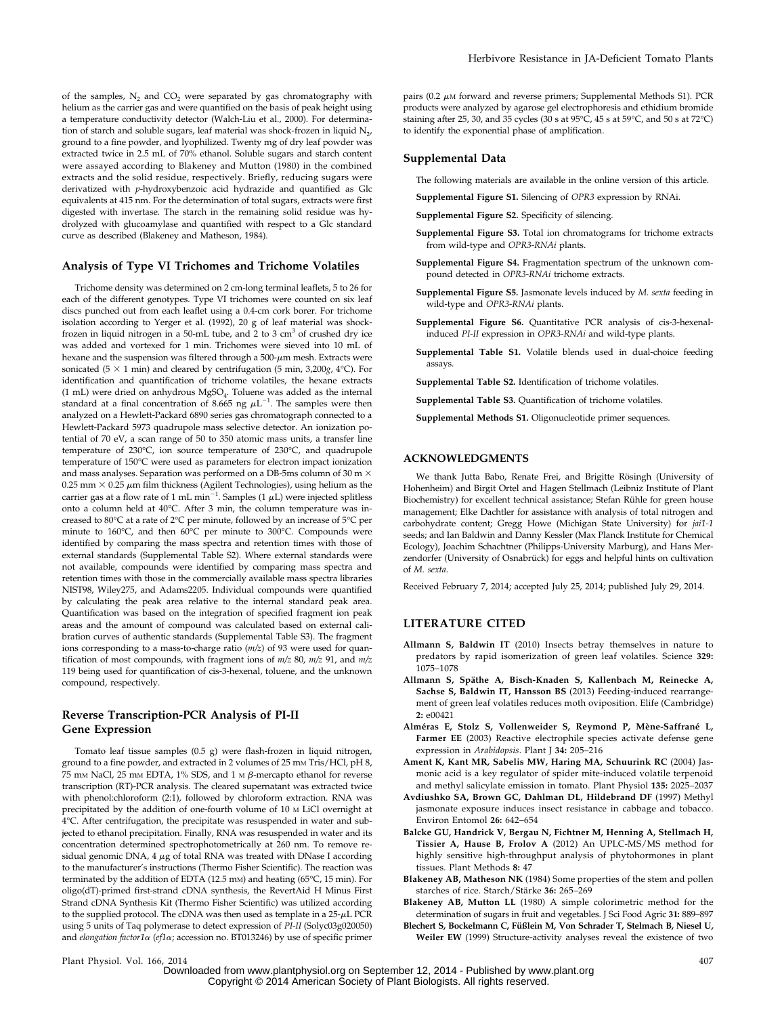of the samples,  $N_2$  and  $CO_2$  were separated by gas chromatography with helium as the carrier gas and were quantified on the basis of peak height using a temperature conductivity detector (Walch-Liu et al., 2000). For determination of starch and soluble sugars, leaf material was shock-frozen in liquid  $N_{2}$ , ground to a fine powder, and lyophilized. Twenty mg of dry leaf powder was extracted twice in 2.5 mL of 70% ethanol. Soluble sugars and starch content were assayed according to Blakeney and Mutton (1980) in the combined extracts and the solid residue, respectively. Briefly, reducing sugars were derivatized with p-hydroxybenzoic acid hydrazide and quantified as Glc equivalents at 415 nm. For the determination of total sugars, extracts were first digested with invertase. The starch in the remaining solid residue was hydrolyzed with glucoamylase and quantified with respect to a Glc standard curve as described (Blakeney and Matheson, 1984).

## Analysis of Type VI Trichomes and Trichome Volatiles

Trichome density was determined on 2 cm-long terminal leaflets, 5 to 26 for each of the different genotypes. Type VI trichomes were counted on six leaf discs punched out from each leaflet using a 0.4-cm cork borer. For trichome isolation according to Yerger et al. (1992), 20 g of leaf material was shockfrozen in liquid nitrogen in a 50-mL tube, and 2 to 3  $\text{cm}^3$  of crushed dry ice was added and vortexed for 1 min. Trichomes were sieved into 10 mL of hexane and the suspension was filtered through a 500- $\mu$ m mesh. Extracts were sonicated (5  $\times$  1 min) and cleared by centrifugation (5 min, 3,200g, 4°C). For identification and quantification of trichome volatiles, the hexane extracts  $(1 \text{ mL})$  were dried on anhydrous MgSO<sub>4</sub>. Toluene was added as the internal standard at a final concentration of 8.665 ng  $\mu L^{-1}$ . The samples were then analyzed on a Hewlett-Packard 6890 series gas chromatograph connected to a Hewlett-Packard 5973 quadrupole mass selective detector. An ionization potential of 70 eV, a scan range of 50 to 350 atomic mass units, a transfer line temperature of 230°C, ion source temperature of 230°C, and quadrupole temperature of 150°C were used as parameters for electron impact ionization and mass analyses. Separation was performed on a DB-5ms column of 30 m  $\times$ 0.25 mm  $\times$  0.25  $\mu$ m film thickness (Agilent Technologies), using helium as the carrier gas at a flow rate of 1 mL min<sup> $-1$ </sup>. Samples (1  $\mu$ L) were injected splitless onto a column held at 40°C. After 3 min, the column temperature was increased to 80°C at a rate of 2°C per minute, followed by an increase of 5°C per minute to 160°C, and then 60°C per minute to 300°C. Compounds were identified by comparing the mass spectra and retention times with those of external standards [\(Supplemental Table S2](http://www.plantphysiol.org/cgi/content/full/pp.114.237388/DC1)). Where external standards were not available, compounds were identified by comparing mass spectra and retention times with those in the commercially available mass spectra libraries NIST98, Wiley275, and Adams2205. Individual compounds were quantified by calculating the peak area relative to the internal standard peak area. Quantification was based on the integration of specified fragment ion peak areas and the amount of compound was calculated based on external calibration curves of authentic standards [\(Supplemental Table S3\)](http://www.plantphysiol.org/cgi/content/full/pp.114.237388/DC1). The fragment ions corresponding to a mass-to-charge ratio (m/z) of 93 were used for quantification of most compounds, with fragment ions of  $m/z$  80,  $m/z$  91, and  $m/z$ 119 being used for quantification of cis-3-hexenal, toluene, and the unknown compound, respectively.

# Reverse Transcription-PCR Analysis of PI-II Gene Expression

Tomato leaf tissue samples (0.5 g) were flash-frozen in liquid nitrogen, ground to a fine powder, and extracted in 2 volumes of 25 mm Tris/HCl, pH 8. 75 mm NaCl, 25 mm EDTA, 1% SDS, and 1 m  $\beta$ -mercapto ethanol for reverse transcription (RT)-PCR analysis. The cleared supernatant was extracted twice with phenol:chloroform (2:1), followed by chloroform extraction. RNA was precipitated by the addition of one-fourth volume of 10 <sup>M</sup> LiCl overnight at 4°C. After centrifugation, the precipitate was resuspended in water and subjected to ethanol precipitation. Finally, RNA was resuspended in water and its concentration determined spectrophotometrically at 260 nm. To remove residual genomic DNA,  $4 \mu$ g of total RNA was treated with DNase I according to the manufacturer's instructions (Thermo Fisher Scientific). The reaction was terminated by the addition of EDTA (12.5 mm) and heating (65°C, 15 min). For oligo(dT)-primed first-strand cDNA synthesis, the RevertAid H Minus First Strand cDNA Synthesis Kit (Thermo Fisher Scientific) was utilized according to the supplied protocol. The cDNA was then used as template in a  $25-\mu$ L PCR using 5 units of Taq polymerase to detect expression of PI-II (Solyc03g020050) and elongation factor1 $\alpha$  (ef1 $\alpha$ ; accession no. BT013246) by use of specific primer

pairs (0.2  $\mu{\rm m}$  forward and reverse primers; [Supplemental Methods S1\)](http://www.plantphysiol.org/cgi/content/full/pp.114.237388/DC1). PCR products were analyzed by agarose gel electrophoresis and ethidium bromide staining after 25, 30, and 35 cycles (30 s at 95°C, 45 s at 59°C, and 50 s at 72°C) to identify the exponential phase of amplification.

## Supplemental Data

The following materials are available in the online version of this article.

- [Supplemental Figure S1.](http://www.plantphysiol.org/cgi/content/full/pp.114.237388/DC1) Silencing of OPR3 expression by RNAi.
- [Supplemental Figure S2.](http://www.plantphysiol.org/cgi/content/full/pp.114.237388/DC1) Specificity of silencing.
- [Supplemental Figure S3.](http://www.plantphysiol.org/cgi/content/full/pp.114.237388/DC1) Total ion chromatograms for trichome extracts from wild-type and OPR3-RNAi plants.
- [Supplemental Figure S4.](http://www.plantphysiol.org/cgi/content/full/pp.114.237388/DC1) Fragmentation spectrum of the unknown compound detected in OPR3-RNAi trichome extracts.
- [Supplemental Figure S5.](http://www.plantphysiol.org/cgi/content/full/pp.114.237388/DC1) Jasmonate levels induced by M. sexta feeding in wild-type and OPR3-RNAi plants.
- [Supplemental Figure S6](http://www.plantphysiol.org/cgi/content/full/pp.114.237388/DC1). Quantitative PCR analysis of cis-3-hexenalinduced PI-II expression in OPR3-RNAi and wild-type plants.
- [Supplemental Table S1.](http://www.plantphysiol.org/cgi/content/full/pp.114.237388/DC1) Volatile blends used in dual-choice feeding assays.
- [Supplemental Table S2.](http://www.plantphysiol.org/cgi/content/full/pp.114.237388/DC1) Identification of trichome volatiles.

[Supplemental Table S3.](http://www.plantphysiol.org/cgi/content/full/pp.114.237388/DC1) Quantification of trichome volatiles.

[Supplemental Methods S1.](http://www.plantphysiol.org/cgi/content/full/pp.114.237388/DC1) Oligonucleotide primer sequences.

## ACKNOWLEDGMENTS

We thank Jutta Babo, Renate Frei, and Brigitte Rösingh (University of Hohenheim) and Birgit Ortel and Hagen Stellmach (Leibniz Institute of Plant Biochemistry) for excellent technical assistance; Stefan Rühle for green house management; Elke Dachtler for assistance with analysis of total nitrogen and carbohydrate content; Gregg Howe (Michigan State University) for jai1-1 seeds; and Ian Baldwin and Danny Kessler (Max Planck Institute for Chemical Ecology), Joachim Schachtner (Philipps-University Marburg), and Hans Merzendorfer (University of Osnabrück) for eggs and helpful hints on cultivation of M. sexta.

Received February 7, 2014; accepted July 25, 2014; published July 29, 2014.

# LITERATURE CITED

- Allmann S, Baldwin IT (2010) Insects betray themselves in nature to predators by rapid isomerization of green leaf volatiles. Science 329: 1075–1078
- Allmann S, Späthe A, Bisch-Knaden S, Kallenbach M, Reinecke A, Sachse S, Baldwin IT, Hansson BS (2013) Feeding-induced rearrangement of green leaf volatiles reduces moth oviposition. Elife (Cambridge) 2: e00421
- Alméras E, Stolz S, Vollenweider S, Reymond P, Mène-Saffrané L, Farmer EE (2003) Reactive electrophile species activate defense gene expression in Arabidopsis. Plant J 34: 205-216
- Ament K, Kant MR, Sabelis MW, Haring MA, Schuurink RC (2004) Jasmonic acid is a key regulator of spider mite-induced volatile terpenoid and methyl salicylate emission in tomato. Plant Physiol 135: 2025–2037
- Avdiushko SA, Brown GC, Dahlman DL, Hildebrand DF (1997) Methyl jasmonate exposure induces insect resistance in cabbage and tobacco. Environ Entomol 26: 642–654
- Balcke GU, Handrick V, Bergau N, Fichtner M, Henning A, Stellmach H, Tissier A, Hause B, Frolov A (2012) An UPLC-MS/MS method for highly sensitive high-throughput analysis of phytohormones in plant tissues. Plant Methods 8: 47
- Blakeney AB, Matheson NK (1984) Some properties of the stem and pollen starches of rice. Starch/Stärke 36: 265–269

Blakeney AB, Mutton LL (1980) A simple colorimetric method for the determination of sugars in fruit and vegetables. J Sci Food Agric 31: 889–897

Blechert S, Bockelmann C, Füßlein M, Von Schrader T, Stelmach B, Niesel U, Weiler EW (1999) Structure-activity analyses reveal the existence of two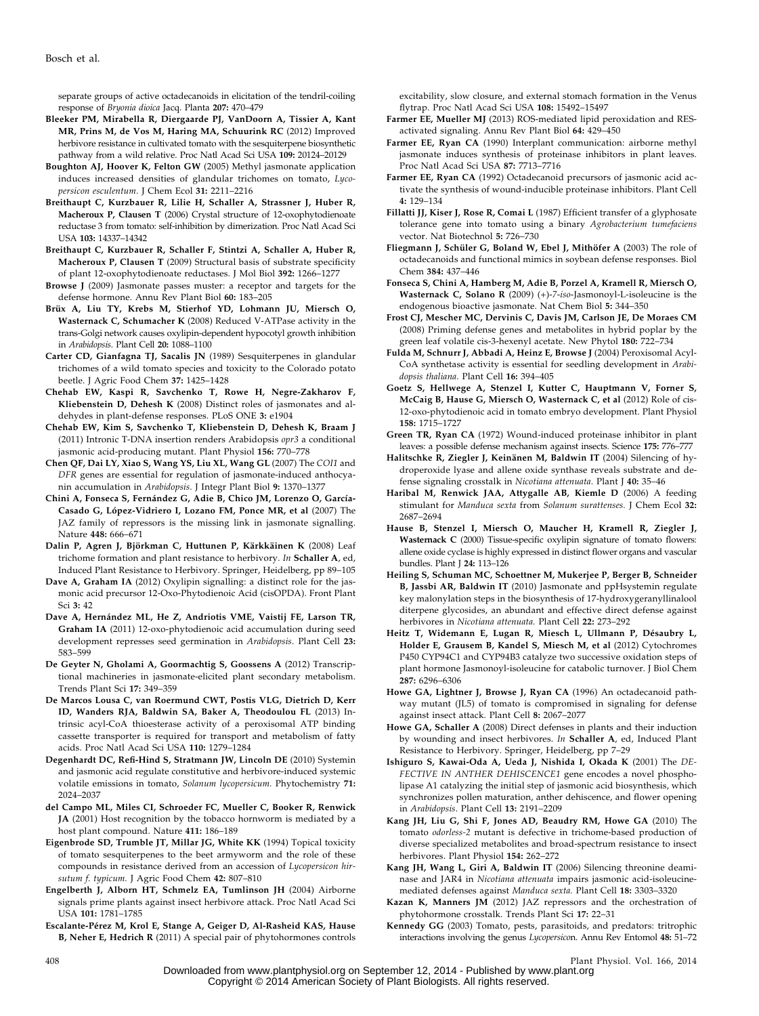separate groups of active octadecanoids in elicitation of the tendril-coiling response of Bryonia dioica Jacq. Planta 207: 470–479

- Bleeker PM, Mirabella R, Diergaarde PJ, VanDoorn A, Tissier A, Kant MR, Prins M, de Vos M, Haring MA, Schuurink RC (2012) Improved herbivore resistance in cultivated tomato with the sesquiterpene biosynthetic pathway from a wild relative. Proc Natl Acad Sci USA 109: 20124–20129
- Boughton AJ, Hoover K, Felton GW (2005) Methyl jasmonate application induces increased densities of glandular trichomes on tomato, Lycopersicon esculentum. J Chem Ecol 31: 2211-2216
- Breithaupt C, Kurzbauer R, Lilie H, Schaller A, Strassner J, Huber R, Macheroux P, Clausen T (2006) Crystal structure of 12-oxophytodienoate reductase 3 from tomato: self-inhibition by dimerization. Proc Natl Acad Sci USA 103: 14337–14342
- Breithaupt C, Kurzbauer R, Schaller F, Stintzi A, Schaller A, Huber R, Macheroux P, Clausen T (2009) Structural basis of substrate specificity of plant 12-oxophytodienoate reductases. J Mol Biol 392: 1266–1277
- Browse J (2009) Jasmonate passes muster: a receptor and targets for the defense hormone. Annu Rev Plant Biol 60: 183–205
- Brüx A, Liu TY, Krebs M, Stierhof YD, Lohmann JU, Miersch O, Wasternack C, Schumacher K (2008) Reduced V-ATPase activity in the trans-Golgi network causes oxylipin-dependent hypocotyl growth inhibition in Arabidopsis. Plant Cell 20: 1088–1100
- Carter CD, Gianfagna TJ, Sacalis JN (1989) Sesquiterpenes in glandular trichomes of a wild tomato species and toxicity to the Colorado potato beetle. J Agric Food Chem 37: 1425–1428
- Chehab EW, Kaspi R, Savchenko T, Rowe H, Negre-Zakharov F, Kliebenstein D, Dehesh K (2008) Distinct roles of jasmonates and aldehydes in plant-defense responses. PLoS ONE 3: e1904
- Chehab EW, Kim S, Savchenko T, Kliebenstein D, Dehesh K, Braam J (2011) Intronic T-DNA insertion renders Arabidopsis opr3 a conditional jasmonic acid-producing mutant. Plant Physiol 156: 770–778
- Chen QF, Dai LY, Xiao S, Wang YS, Liu XL, Wang GL (2007) The COI1 and DFR genes are essential for regulation of jasmonate-induced anthocyanin accumulation in Arabidopsis. J Integr Plant Biol 9: 1370–1377
- Chini A, Fonseca S, Fernández G, Adie B, Chico JM, Lorenzo O, García-Casado G, López-Vidriero I, Lozano FM, Ponce MR, et al (2007) The JAZ family of repressors is the missing link in jasmonate signalling. Nature 448: 666–671
- Dalin P, Agren J, Björkman C, Huttunen P, Kärkkäinen K (2008) Leaf trichome formation and plant resistance to herbivory. In Schaller A, ed, Induced Plant Resistance to Herbivory. Springer, Heidelberg, pp 89–105
- Dave A, Graham IA (2012) Oxylipin signalling: a distinct role for the jasmonic acid precursor 12-Oxo-Phytodienoic Acid (cisOPDA). Front Plant Sci 3: 42
- Dave A, Hernández ML, He Z, Andriotis VME, Vaistij FE, Larson TR, Graham IA (2011) 12-oxo-phytodienoic acid accumulation during seed development represses seed germination in Arabidopsis. Plant Cell 23: 583–599
- De Geyter N, Gholami A, Goormachtig S, Goossens A (2012) Transcriptional machineries in jasmonate-elicited plant secondary metabolism. Trends Plant Sci 17: 349–359
- De Marcos Lousa C, van Roermund CWT, Postis VLG, Dietrich D, Kerr ID, Wanders RJA, Baldwin SA, Baker A, Theodoulou FL (2013) Intrinsic acyl-CoA thioesterase activity of a peroxisomal ATP binding cassette transporter is required for transport and metabolism of fatty acids. Proc Natl Acad Sci USA 110: 1279–1284
- Degenhardt DC, Refi-Hind S, Stratmann JW, Lincoln DE (2010) Systemin and jasmonic acid regulate constitutive and herbivore-induced systemic volatile emissions in tomato, Solanum lycopersicum. Phytochemistry 71: 2024–2037
- del Campo ML, Miles CI, Schroeder FC, Mueller C, Booker R, Renwick JA (2001) Host recognition by the tobacco hornworm is mediated by a host plant compound. Nature 411: 186–189
- Eigenbrode SD, Trumble JT, Millar JG, White KK (1994) Topical toxicity of tomato sesquiterpenes to the beet armyworm and the role of these compounds in resistance derived from an accession of Lycopersicon hirsutum f. typicum. J Agric Food Chem 42: 807-810
- Engelberth J, Alborn HT, Schmelz EA, Tumlinson JH (2004) Airborne signals prime plants against insect herbivore attack. Proc Natl Acad Sci USA 101: 1781–1785
- Escalante-Pérez M, Krol E, Stange A, Geiger D, Al-Rasheid KAS, Hause B, Neher E, Hedrich R (2011) A special pair of phytohormones controls

excitability, slow closure, and external stomach formation in the Venus flytrap. Proc Natl Acad Sci USA 108: 15492–15497

- Farmer EE, Mueller MJ (2013) ROS-mediated lipid peroxidation and RESactivated signaling. Annu Rev Plant Biol 64: 429–450
- Farmer EE, Ryan CA (1990) Interplant communication: airborne methyl jasmonate induces synthesis of proteinase inhibitors in plant leaves. Proc Natl Acad Sci USA 87: 7713–7716
- Farmer EE, Ryan CA (1992) Octadecanoid precursors of jasmonic acid activate the synthesis of wound-inducible proteinase inhibitors. Plant Cell 4: 129–134
- Fillatti JJ, Kiser J, Rose R, Comai L (1987) Efficient transfer of a glyphosate tolerance gene into tomato using a binary Agrobacterium tumefaciens vector. Nat Biotechnol 5: 726–730
- Fliegmann J, Schüler G, Boland W, Ebel J, Mithöfer A (2003) The role of octadecanoids and functional mimics in soybean defense responses. Biol Chem 384: 437–446
- Fonseca S, Chini A, Hamberg M, Adie B, Porzel A, Kramell R, Miersch O, Wasternack C, Solano R (2009) (+)-7-iso-Jasmonoyl-L-isoleucine is the endogenous bioactive jasmonate. Nat Chem Biol 5: 344–350
- Frost CJ, Mescher MC, Dervinis C, Davis JM, Carlson JE, De Moraes CM (2008) Priming defense genes and metabolites in hybrid poplar by the green leaf volatile cis-3-hexenyl acetate. New Phytol 180: 722–734
- Fulda M, Schnurr J, Abbadi A, Heinz E, Browse J (2004) Peroxisomal Acyl-CoA synthetase activity is essential for seedling development in Arabidopsis thaliana. Plant Cell 16: 394–405
- Goetz S, Hellwege A, Stenzel I, Kutter C, Hauptmann V, Forner S, McCaig B, Hause G, Miersch O, Wasternack C, et al (2012) Role of cis-12-oxo-phytodienoic acid in tomato embryo development. Plant Physiol 158: 1715–1727
- Green TR, Ryan CA (1972) Wound-induced proteinase inhibitor in plant leaves: a possible defense mechanism against insects. Science 175: 776–777
- Halitschke R, Ziegler J, Keinänen M, Baldwin IT (2004) Silencing of hydroperoxide lyase and allene oxide synthase reveals substrate and defense signaling crosstalk in Nicotiana attenuata. Plant J 40: 35–46
- Haribal M, Renwick JAA, Attygalle AB, Kiemle D (2006) A feeding stimulant for Manduca sexta from Solanum surattenses. J Chem Ecol 32: 2687–2694
- Hause B, Stenzel I, Miersch O, Maucher H, Kramell R, Ziegler J, Wasternack C (2000) Tissue-specific oxylipin signature of tomato flowers: allene oxide cyclase is highly expressed in distinct flower organs and vascular bundles. Plant J 24: 113–126
- Heiling S, Schuman MC, Schoettner M, Mukerjee P, Berger B, Schneider B, Jassbi AR, Baldwin IT (2010) Jasmonate and ppHsystemin regulate key malonylation steps in the biosynthesis of 17-hydroxygeranyllinalool diterpene glycosides, an abundant and effective direct defense against herbivores in Nicotiana attenuata. Plant Cell 22: 273–292
- Heitz T, Widemann E, Lugan R, Miesch L, Ullmann P, Désaubry L, Holder E, Grausem B, Kandel S, Miesch M, et al (2012) Cytochromes P450 CYP94C1 and CYP94B3 catalyze two successive oxidation steps of plant hormone Jasmonoyl-isoleucine for catabolic turnover. J Biol Chem 287: 6296–6306
- Howe GA, Lightner J, Browse J, Ryan CA (1996) An octadecanoid pathway mutant (JL5) of tomato is compromised in signaling for defense against insect attack. Plant Cell 8: 2067–2077
- Howe GA, Schaller A (2008) Direct defenses in plants and their induction by wounding and insect herbivores. In Schaller A, ed, Induced Plant Resistance to Herbivory. Springer, Heidelberg, pp 7–29
- Ishiguro S, Kawai-Oda A, Ueda J, Nishida I, Okada K (2001) The DE-FECTIVE IN ANTHER DEHISCENCE1 gene encodes a novel phospholipase A1 catalyzing the initial step of jasmonic acid biosynthesis, which synchronizes pollen maturation, anther dehiscence, and flower opening in Arabidopsis. Plant Cell 13: 2191–2209
- Kang JH, Liu G, Shi F, Jones AD, Beaudry RM, Howe GA (2010) The tomato odorless-2 mutant is defective in trichome-based production of diverse specialized metabolites and broad-spectrum resistance to insect herbivores. Plant Physiol 154: 262–272
- Kang JH, Wang L, Giri A, Baldwin IT (2006) Silencing threonine deaminase and JAR4 in Nicotiana attenuata impairs jasmonic acid-isoleucinemediated defenses against Manduca sexta. Plant Cell 18: 3303–3320
- Kazan K, Manners JM (2012) JAZ repressors and the orchestration of phytohormone crosstalk. Trends Plant Sci 17: 22–31
- Kennedy GG (2003) Tomato, pests, parasitoids, and predators: tritrophic interactions involving the genus Lycopersicon. Annu Rev Entomol 48: 51–72

Downloaded from [www.plantphysiol.org](http://www.plantphysiol.org/) on September 12, 2014 - Published by [www.plant.org](http://www.plant.org) Copyright © 2014 American Society of Plant Biologists. All rights reserved.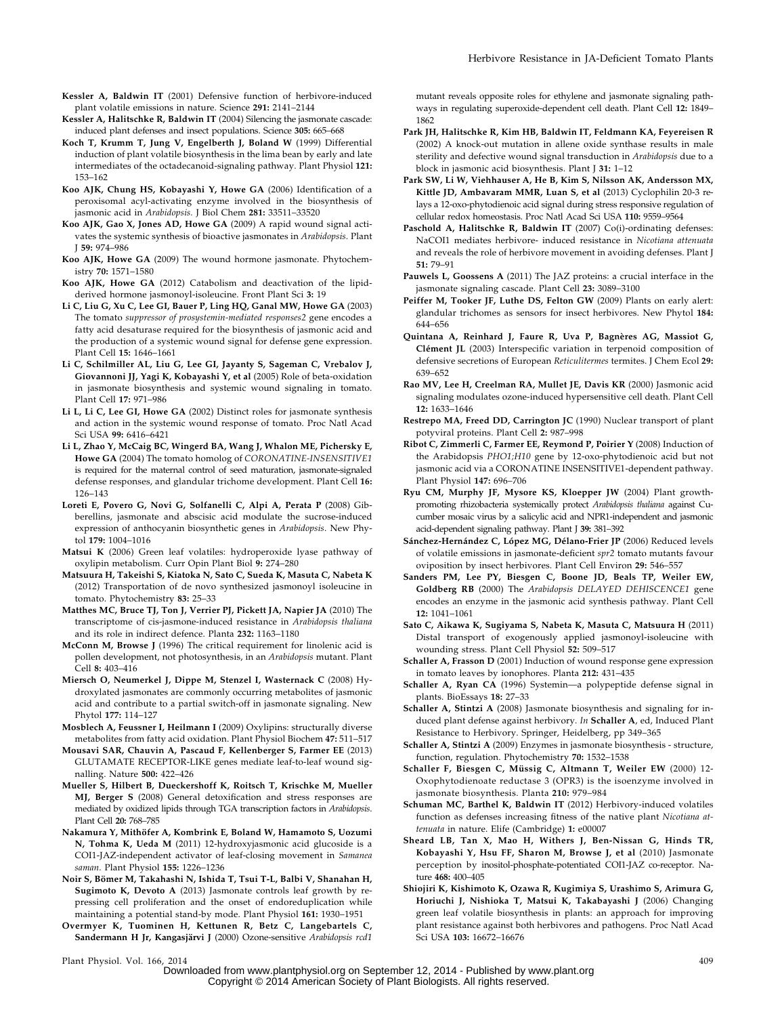- Kessler A, Baldwin IT (2001) Defensive function of herbivore-induced plant volatile emissions in nature. Science 291: 2141–2144
- Kessler A, Halitschke R, Baldwin IT (2004) Silencing the jasmonate cascade: induced plant defenses and insect populations. Science 305: 665–668
- Koch T, Krumm T, Jung V, Engelberth J, Boland W (1999) Differential induction of plant volatile biosynthesis in the lima bean by early and late intermediates of the octadecanoid-signaling pathway. Plant Physiol 121: 153–162
- Koo AJK, Chung HS, Kobayashi Y, Howe GA (2006) Identification of a peroxisomal acyl-activating enzyme involved in the biosynthesis of jasmonic acid in Arabidopsis. J Biol Chem 281: 33511–33520
- Koo AJK, Gao X, Jones AD, Howe GA (2009) A rapid wound signal activates the systemic synthesis of bioactive jasmonates in Arabidopsis. Plant J 59: 974–986
- Koo AJK, Howe GA (2009) The wound hormone jasmonate. Phytochemistry 70: 1571–1580
- Koo AJK, Howe GA (2012) Catabolism and deactivation of the lipidderived hormone jasmonoyl-isoleucine. Front Plant Sci 3: 19
- Li C, Liu G, Xu C, Lee GI, Bauer P, Ling HQ, Ganal MW, Howe GA (2003) The tomato suppressor of prosystemin-mediated responses2 gene encodes a fatty acid desaturase required for the biosynthesis of jasmonic acid and the production of a systemic wound signal for defense gene expression. Plant Cell 15: 1646–1661
- Li C, Schilmiller AL, Liu G, Lee GI, Jayanty S, Sageman C, Vrebalov J, Giovannoni JJ, Yagi K, Kobayashi Y, et al (2005) Role of beta-oxidation in jasmonate biosynthesis and systemic wound signaling in tomato. Plant Cell 17: 971–986
- Li L, Li C, Lee GI, Howe GA (2002) Distinct roles for jasmonate synthesis and action in the systemic wound response of tomato. Proc Natl Acad Sci USA 99: 6416–6421
- Li L, Zhao Y, McCaig BC, Wingerd BA, Wang J, Whalon ME, Pichersky E, Howe GA (2004) The tomato homolog of CORONATINE-INSENSITIVE1 is required for the maternal control of seed maturation, jasmonate-signaled defense responses, and glandular trichome development. Plant Cell 16: 126–143
- Loreti E, Povero G, Novi G, Solfanelli C, Alpi A, Perata P (2008) Gibberellins, jasmonate and abscisic acid modulate the sucrose-induced expression of anthocyanin biosynthetic genes in Arabidopsis. New Phytol 179: 1004–1016
- Matsui K (2006) Green leaf volatiles: hydroperoxide lyase pathway of oxylipin metabolism. Curr Opin Plant Biol 9: 274–280
- Matsuura H, Takeishi S, Kiatoka N, Sato C, Sueda K, Masuta C, Nabeta K (2012) Transportation of de novo synthesized jasmonoyl isoleucine in tomato. Phytochemistry 83: 25–33
- Matthes MC, Bruce TJ, Ton J, Verrier PJ, Pickett JA, Napier JA (2010) The transcriptome of cis-jasmone-induced resistance in Arabidopsis thaliana and its role in indirect defence. Planta 232: 1163–1180
- McConn M, Browse J (1996) The critical requirement for linolenic acid is pollen development, not photosynthesis, in an Arabidopsis mutant. Plant Cell 8: 403–416
- Miersch O, Neumerkel J, Dippe M, Stenzel I, Wasternack C (2008) Hydroxylated jasmonates are commonly occurring metabolites of jasmonic acid and contribute to a partial switch-off in jasmonate signaling. New Phytol 177: 114–127
- Mosblech A, Feussner I, Heilmann I (2009) Oxylipins: structurally diverse metabolites from fatty acid oxidation. Plant Physiol Biochem 47: 511–517
- Mousavi SAR, Chauvin A, Pascaud F, Kellenberger S, Farmer EE (2013) GLUTAMATE RECEPTOR-LIKE genes mediate leaf-to-leaf wound signalling. Nature 500: 422–426
- Mueller S, Hilbert B, Dueckershoff K, Roitsch T, Krischke M, Mueller MJ, Berger S (2008) General detoxification and stress responses are mediated by oxidized lipids through TGA transcription factors in Arabidopsis. Plant Cell 20: 768–785
- Nakamura Y, Mithöfer A, Kombrink E, Boland W, Hamamoto S, Uozumi N, Tohma K, Ueda M (2011) 12-hydroxyjasmonic acid glucoside is a COI1-JAZ-independent activator of leaf-closing movement in Samanea saman. Plant Physiol 155: 1226–1236
- Noir S, Bömer M, Takahashi N, Ishida T, Tsui T-L, Balbi V, Shanahan H, Sugimoto K, Devoto A (2013) Jasmonate controls leaf growth by repressing cell proliferation and the onset of endoreduplication while maintaining a potential stand-by mode. Plant Physiol 161: 1930–1951
- Overmyer K, Tuominen H, Kettunen R, Betz C, Langebartels C, Sandermann H Jr, Kangasjärvi J (2000) Ozone-sensitive Arabidopsis rcd1

mutant reveals opposite roles for ethylene and jasmonate signaling pathways in regulating superoxide-dependent cell death. Plant Cell 12: 1849– 1862

- Park JH, Halitschke R, Kim HB, Baldwin IT, Feldmann KA, Feyereisen R (2002) A knock-out mutation in allene oxide synthase results in male sterility and defective wound signal transduction in Arabidopsis due to a block in jasmonic acid biosynthesis. Plant J 31: 1–12
- Park SW, Li W, Viehhauser A, He B, Kim S, Nilsson AK, Andersson MX, Kittle JD, Ambavaram MMR, Luan S, et al (2013) Cyclophilin 20-3 relays a 12-oxo-phytodienoic acid signal during stress responsive regulation of cellular redox homeostasis. Proc Natl Acad Sci USA 110: 9559–9564
- Paschold A, Halitschke R, Baldwin IT (2007) Co(i)-ordinating defenses: NaCOI1 mediates herbivore- induced resistance in Nicotiana attenuata and reveals the role of herbivore movement in avoiding defenses. Plant J 51: 79–91
- Pauwels L, Goossens A (2011) The JAZ proteins: a crucial interface in the jasmonate signaling cascade. Plant Cell 23: 3089–3100
- Peiffer M, Tooker JF, Luthe DS, Felton GW (2009) Plants on early alert: glandular trichomes as sensors for insect herbivores. New Phytol 184: 644–656
- Quintana A, Reinhard J, Faure R, Uva P, Bagnères AG, Massiot G, Clément JL (2003) Interspecific variation in terpenoid composition of defensive secretions of European Reticulitermes termites. J Chem Ecol 29: 639–652
- Rao MV, Lee H, Creelman RA, Mullet JE, Davis KR (2000) Jasmonic acid signaling modulates ozone-induced hypersensitive cell death. Plant Cell 12: 1633–1646
- Restrepo MA, Freed DD, Carrington JC (1990) Nuclear transport of plant potyviral proteins. Plant Cell 2: 987–998
- Ribot C, Zimmerli C, Farmer EE, Reymond P, Poirier Y (2008) Induction of the Arabidopsis PHO1;H10 gene by 12-oxo-phytodienoic acid but not jasmonic acid via a CORONATINE INSENSITIVE1-dependent pathway. Plant Physiol 147: 696–706
- Ryu CM, Murphy JF, Mysore KS, Kloepper JW (2004) Plant growthpromoting rhizobacteria systemically protect Arabidopsis thaliana against Cucumber mosaic virus by a salicylic acid and NPR1-independent and jasmonic acid-dependent signaling pathway. Plant J 39: 381–392
- Sánchez-Hernández C, López MG, Délano-Frier JP (2006) Reduced levels of volatile emissions in jasmonate-deficient spr2 tomato mutants favour oviposition by insect herbivores. Plant Cell Environ 29: 546–557
- Sanders PM, Lee PY, Biesgen C, Boone JD, Beals TP, Weiler EW, Goldberg RB (2000) The Arabidopsis DELAYED DEHISCENCE1 gene encodes an enzyme in the jasmonic acid synthesis pathway. Plant Cell 12: 1041–1061
- Sato C, Aikawa K, Sugiyama S, Nabeta K, Masuta C, Matsuura H (2011) Distal transport of exogenously applied jasmonoyl-isoleucine with wounding stress. Plant Cell Physiol 52: 509–517
- Schaller A, Frasson D (2001) Induction of wound response gene expression in tomato leaves by ionophores. Planta 212: 431–435
- Schaller A, Ryan CA (1996) Systemin—a polypeptide defense signal in plants. BioEssays 18: 27–33
- Schaller A, Stintzi A (2008) Jasmonate biosynthesis and signaling for induced plant defense against herbivory. In Schaller A, ed, Induced Plant Resistance to Herbivory. Springer, Heidelberg, pp 349–365
- Schaller A, Stintzi A (2009) Enzymes in jasmonate biosynthesis structure, function, regulation. Phytochemistry 70: 1532–1538
- Schaller F, Biesgen C, Müssig C, Altmann T, Weiler EW (2000) 12- Oxophytodienoate reductase 3 (OPR3) is the isoenzyme involved in jasmonate biosynthesis. Planta 210: 979–984
- Schuman MC, Barthel K, Baldwin IT (2012) Herbivory-induced volatiles function as defenses increasing fitness of the native plant Nicotiana attenuata in nature. Elife (Cambridge) 1: e00007
- Sheard LB, Tan X, Mao H, Withers J, Ben-Nissan G, Hinds TR, Kobayashi Y, Hsu FF, Sharon M, Browse J, et al (2010) Jasmonate perception by inositol-phosphate-potentiated COI1-JAZ co-receptor. Nature 468: 400–405
- Shiojiri K, Kishimoto K, Ozawa R, Kugimiya S, Urashimo S, Arimura G, Horiuchi J, Nishioka T, Matsui K, Takabayashi J (2006) Changing green leaf volatile biosynthesis in plants: an approach for improving plant resistance against both herbivores and pathogens. Proc Natl Acad Sci USA 103: 16672–16676